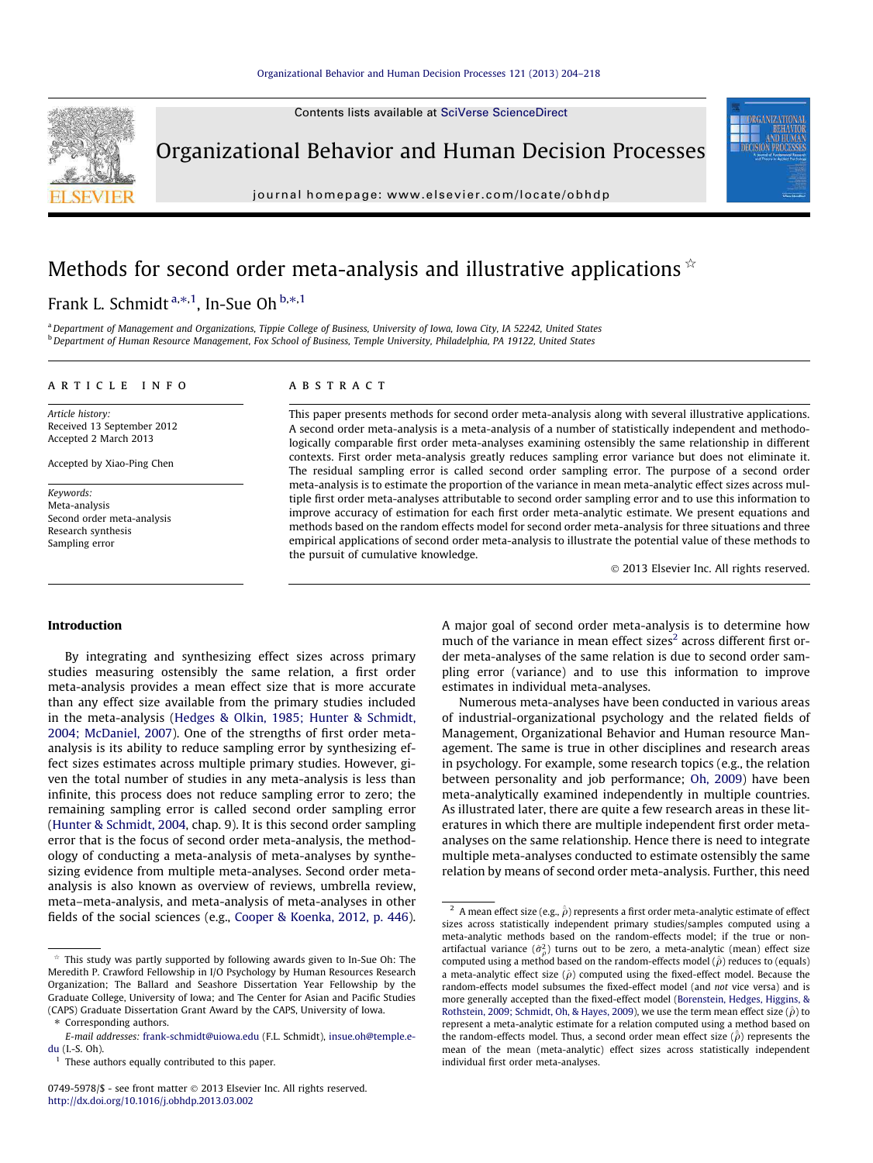Contents lists available at SciVerse ScienceDirect



Organizational Behavior and Human Decision Processes

journal homepage: www.elsevier.com/locate/obhdp

# Methods for second order meta-analysis and illustrative applications  $\dot{\alpha}$

## Frank L. Schmidt <sup>a,\*,1</sup>, In-Sue Oh <sup>b,\*,1</sup>

<sup>a</sup>*Department of Management and Organizations, Tippie College of Business, University of Iowa, Iowa City, IA 52242, United States* <sup>b</sup>*Department of Human Resource Management, Fox School of Business, Temple University, Philadelphia, PA 19122, United States*

### article info

*Article history:* Received 13 September 2012 Accepted 2 March 2013

Accepted by Xiao-Ping Chen

*Keywords:* Meta-analysis Second order meta-analysis Research synthesis Sampling error

## **ABSTRACT**

This paper presents methods for second order meta-analysis along with several illustrative applications. A second order meta-analysis is a meta-analysis of a number of statistically independent and methodologically comparable first order meta-analyses examining ostensibly the same relationship in different contexts. First order meta-analysis greatly reduces sampling error variance but does not eliminate it. The residual sampling error is called second order sampling error. The purpose of a second order meta-analysis is to estimate the proportion of the variance in mean meta-analytic effect sizes across multiple first order meta-analyses attributable to second order sampling error and to use this information to improve accuracy of estimation for each first order meta-analytic estimate. We present equations and methods based on the random effects model for second order meta-analysis for three situations and three empirical applications of second order meta-analysis to illustrate the potential value of these methods to the pursuit of cumulative knowledge.

 $©$  2013 Elsevier Inc. All rights reserved.

#### Introduction

By integrating and synthesizing effect sizes across primary studies measuring ostensibly the same relation, a first order meta-analysis provides a mean effect size that is more accurate than any effect size available from the primary studies included in the meta-analysis (Hedges & Olkin, 1985; Hunter & Schmidt, 2004; McDaniel, 2007). One of the strengths of first order metaanalysis is its ability to reduce sampling error by synthesizing effect sizes estimates across multiple primary studies. However, given the total number of studies in any meta-analysis is less than infinite, this process does not reduce sampling error to zero; the remaining sampling error is called second order sampling error (Hunter & Schmidt, 2004, chap. 9). It is this second order sampling error that is the focus of second order meta-analysis, the methodology of conducting a meta-analysis of meta-analyses by synthesizing evidence from multiple meta-analyses. Second order metaanalysis is also known as overview of reviews, umbrella review, meta–meta-analysis, and meta-analysis of meta-analyses in other fields of the social sciences (e.g., Cooper & Koenka, 2012, p. 446). A major goal of second order meta-analysis is to determine how much of the variance in mean effect sizes<sup>2</sup> across different first order meta-analyses of the same relation is due to second order sampling error (variance) and to use this information to improve estimates in individual meta-analyses.

Numerous meta-analyses have been conducted in various areas of industrial-organizational psychology and the related fields of Management, Organizational Behavior and Human resource Management. The same is true in other disciplines and research areas in psychology. For example, some research topics (e.g., the relation between personality and job performance; Oh, 2009) have been meta-analytically examined independently in multiple countries. As illustrated later, there are quite a few research areas in these literatures in which there are multiple independent first order metaanalyses on the same relationship. Hence there is need to integrate multiple meta-analyses conducted to estimate ostensibly the same relation by means of second order meta-analysis. Further, this need

 $*$  This study was partly supported by following awards given to In-Sue Oh: The Meredith P. Crawford Fellowship in I/O Psychology by Human Resources Research Organization; The Ballard and Seashore Dissertation Year Fellowship by the Graduate College, University of Iowa; and The Center for Asian and Pacific Studies (CAPS) Graduate Dissertation Grant Award by the CAPS, University of Iowa. ⇑ Corresponding authors.

*E-mail addresses:* frank-schmidt@uiowa.edu (F.L. Schmidt), insue.oh@temple.edu (I.-S. Oh).

<sup>&</sup>lt;sup>1</sup> These authors equally contributed to this paper.

<sup>&</sup>lt;sup>2</sup> A mean effect size (e.g.,  $\hat{\rho}$ ) represents a first order meta-analytic estimate of effect sizes across statistically independent primary studies/samples computed using a meta-analytic methods based on the random-effects model; if the true or nonartifactual variance  $(\hat{\sigma}_{\rho}^2)$  turns out to be zero, a meta-analytic (mean) effect size computed using a method based on the random-effects model  $(\hat{\rho})$  reduces to (equals) a meta-analytic effect size ( $\hat{\rho}$ ) computed using the fixed-effect model. Because the random-effects model subsumes the fixed-effect model (and *not* vice versa) and is more generally accepted than the fixed-effect model (Borenstein, Hedges, Higgins, & Rothstein, 2009; Schmidt, Oh, & Hayes, 2009), we use the term mean effect size ( $\hat{p}$ ) to represent a meta-analytic estimate for a relation computed using a method based on the random-effects model. Thus, a second order mean effect size  $(\hat{\bar{p}})$  represents the mean of the mean (meta-analytic) effect sizes across statistically independent individual first order meta-analyses.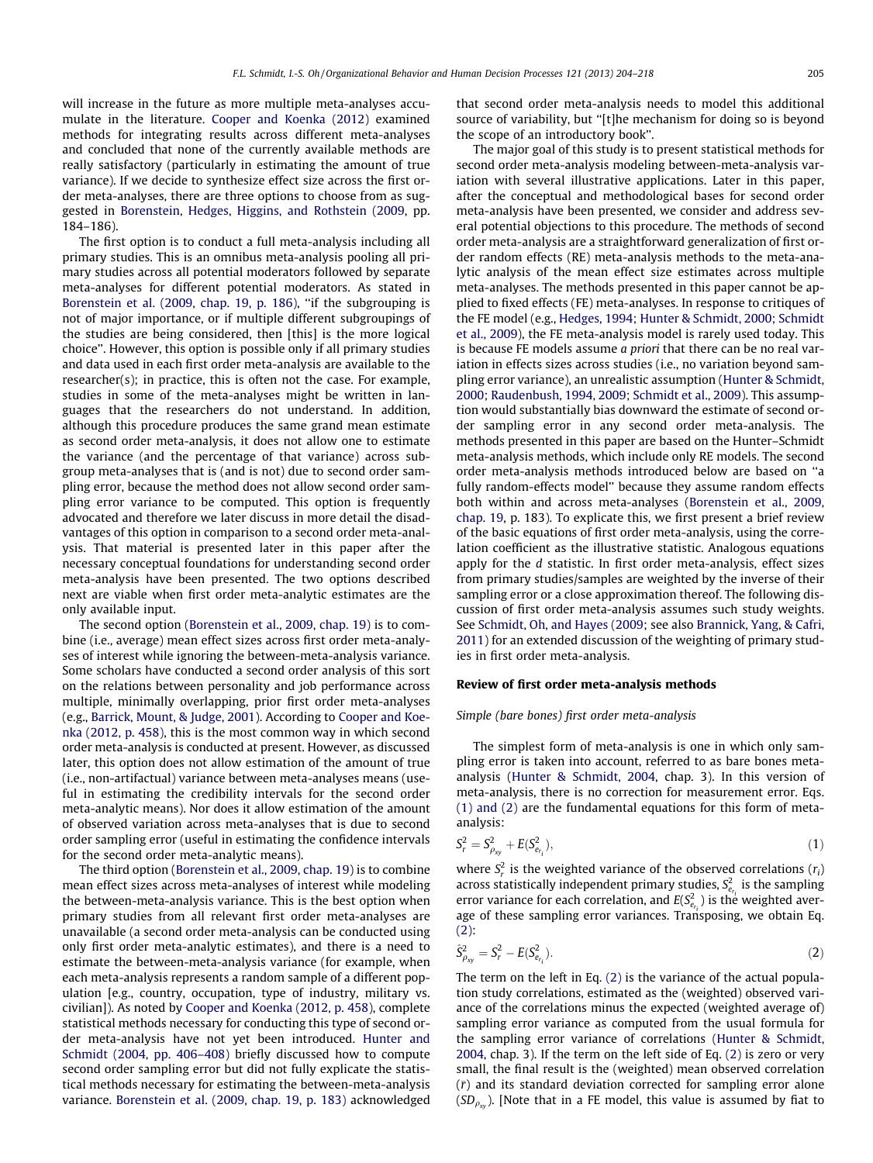will increase in the future as more multiple meta-analyses accumulate in the literature. Cooper and Koenka (2012) examined methods for integrating results across different meta-analyses and concluded that none of the currently available methods are really satisfactory (particularly in estimating the amount of true variance). If we decide to synthesize effect size across the first order meta-analyses, there are three options to choose from as suggested in Borenstein, Hedges, Higgins, and Rothstein (2009, pp. 184–186).

The first option is to conduct a full meta-analysis including all primary studies. This is an omnibus meta-analysis pooling all primary studies across all potential moderators followed by separate meta-analyses for different potential moderators. As stated in Borenstein et al. (2009, chap. 19, p. 186), "if the subgrouping is not of major importance, or if multiple different subgroupings of the studies are being considered, then [this] is the more logical choice''. However, this option is possible only if all primary studies and data used in each first order meta-analysis are available to the researcher(s); in practice, this is often not the case. For example, studies in some of the meta-analyses might be written in languages that the researchers do not understand. In addition, although this procedure produces the same grand mean estimate as second order meta-analysis, it does not allow one to estimate the variance (and the percentage of that variance) across subgroup meta-analyses that is (and is not) due to second order sampling error, because the method does not allow second order sampling error variance to be computed. This option is frequently advocated and therefore we later discuss in more detail the disadvantages of this option in comparison to a second order meta-analysis. That material is presented later in this paper after the necessary conceptual foundations for understanding second order meta-analysis have been presented. The two options described next are viable when first order meta-analytic estimates are the only available input.

The second option (Borenstein et al., 2009, chap. 19) is to combine (i.e., average) mean effect sizes across first order meta-analyses of interest while ignoring the between-meta-analysis variance. Some scholars have conducted a second order analysis of this sort on the relations between personality and job performance across multiple, minimally overlapping, prior first order meta-analyses (e.g., Barrick, Mount, & Judge, 2001). According to Cooper and Koenka (2012, p. 458), this is the most common way in which second order meta-analysis is conducted at present. However, as discussed later, this option does not allow estimation of the amount of true (i.e., non-artifactual) variance between meta-analyses means (useful in estimating the credibility intervals for the second order meta-analytic means). Nor does it allow estimation of the amount of observed variation across meta-analyses that is due to second order sampling error (useful in estimating the confidence intervals for the second order meta-analytic means).

The third option (Borenstein et al., 2009, chap. 19) is to combine mean effect sizes across meta-analyses of interest while modeling the between-meta-analysis variance. This is the best option when primary studies from all relevant first order meta-analyses are unavailable (a second order meta-analysis can be conducted using only first order meta-analytic estimates), and there is a need to estimate the between-meta-analysis variance (for example, when each meta-analysis represents a random sample of a different population [e.g., country, occupation, type of industry, military vs. civilian]). As noted by Cooper and Koenka (2012, p. 458), complete statistical methods necessary for conducting this type of second order meta-analysis have not yet been introduced. Hunter and Schmidt (2004, pp. 406–408) briefly discussed how to compute second order sampling error but did not fully explicate the statistical methods necessary for estimating the between-meta-analysis variance. Borenstein et al. (2009, chap. 19, p. 183) acknowledged that second order meta-analysis needs to model this additional source of variability, but ''[t]he mechanism for doing so is beyond the scope of an introductory book''.

The major goal of this study is to present statistical methods for second order meta-analysis modeling between-meta-analysis variation with several illustrative applications. Later in this paper, after the conceptual and methodological bases for second order meta-analysis have been presented, we consider and address several potential objections to this procedure. The methods of second order meta-analysis are a straightforward generalization of first order random effects (RE) meta-analysis methods to the meta-analytic analysis of the mean effect size estimates across multiple meta-analyses. The methods presented in this paper cannot be applied to fixed effects (FE) meta-analyses. In response to critiques of the FE model (e.g., Hedges, 1994; Hunter & Schmidt, 2000; Schmidt et al., 2009), the FE meta-analysis model is rarely used today. This is because FE models assume *a priori* that there can be no real variation in effects sizes across studies (i.e., no variation beyond sampling error variance), an unrealistic assumption (Hunter & Schmidt, 2000; Raudenbush, 1994, 2009; Schmidt et al., 2009). This assumption would substantially bias downward the estimate of second order sampling error in any second order meta-analysis. The methods presented in this paper are based on the Hunter–Schmidt meta-analysis methods, which include only RE models. The second order meta-analysis methods introduced below are based on ''a fully random-effects model'' because they assume random effects both within and across meta-analyses (Borenstein et al., 2009, chap. 19, p. 183). To explicate this, we first present a brief review of the basic equations of first order meta-analysis, using the correlation coefficient as the illustrative statistic. Analogous equations apply for the *d* statistic. In first order meta-analysis, effect sizes from primary studies/samples are weighted by the inverse of their sampling error or a close approximation thereof. The following discussion of first order meta-analysis assumes such study weights. See Schmidt, Oh, and Hayes (2009; see also Brannick, Yang, & Cafri, 2011) for an extended discussion of the weighting of primary studies in first order meta-analysis.

#### Review of first order meta-analysis methods

### *Simple (bare bones) first order meta-analysis*

The simplest form of meta-analysis is one in which only sampling error is taken into account, referred to as bare bones metaanalysis (Hunter & Schmidt, 2004, chap. 3). In this version of meta-analysis, there is no correction for measurement error. Eqs. (1) and (2) are the fundamental equations for this form of metaanalysis:

$$
S_r^2 = S_{\rho_{xy}}^2 + E(S_{e_{r_i}}^2),\tag{1}
$$

where  $S_r^2$  is the weighted variance of the observed correlations  $(r_i)$ across statistically independent primary studies, *S* 2 *er* is the sampling error variance for each correlation, and  $E(S_{e_{r_i}}^2)$  is the weighted average of these sampling error variances. Transposing, we obtain Eq. (2):

$$
\hat{S}_{\rho_{xy}}^2 = S_r^2 - E(S_{e_{r_i}}^2). \tag{2}
$$

The term on the left in Eq. (2) is the variance of the actual population study correlations, estimated as the (weighted) observed variance of the correlations minus the expected (weighted average of) sampling error variance as computed from the usual formula for the sampling error variance of correlations (Hunter & Schmidt, 2004, chap. 3). If the term on the left side of Eq. (2) is zero or very small, the final result is the (weighted) mean observed correlation  $(\bar{r})$  and its standard deviation corrected for sampling error alone (SD<sub> $\rho_{\mathsf{xy}}$ ). [Note that in a FE model, this value is assumed by fiat to</sub>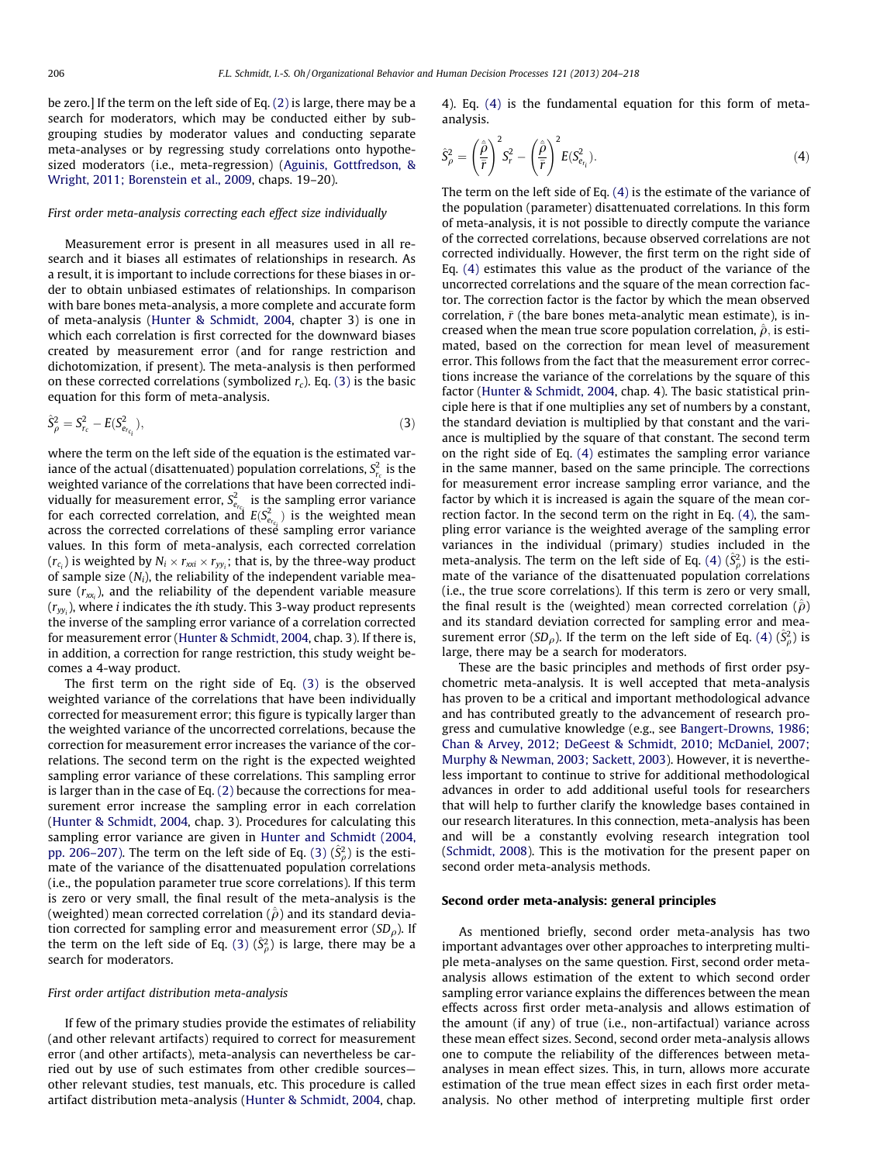be zero.] If the term on the left side of Eq. (2) is large, there may be a search for moderators, which may be conducted either by subgrouping studies by moderator values and conducting separate meta-analyses or by regressing study correlations onto hypothesized moderators (i.e., meta-regression) (Aguinis, Gottfredson, & Wright, 2011; Borenstein et al., 2009, chaps. 19–20).

#### *First order meta-analysis correcting each effect size individually*

Measurement error is present in all measures used in all research and it biases all estimates of relationships in research. As a result, it is important to include corrections for these biases in order to obtain unbiased estimates of relationships. In comparison with bare bones meta-analysis, a more complete and accurate form of meta-analysis (Hunter & Schmidt, 2004, chapter 3) is one in which each correlation is first corrected for the downward biases created by measurement error (and for range restriction and dichotomization, if present). The meta-analysis is then performed on these corrected correlations (symbolized *rc*). Eq. (3) is the basic equation for this form of meta-analysis.

$$
\hat{S}_{\rho}^{2} = S_{r_{c}}^{2} - E(S_{e_{r_{c_{i}}}}^{2}),
$$
\n(3)

where the term on the left side of the equation is the estimated variance of the actual (disattenuated) population correlations,  $S^2_{r_c}$  is the weighted variance of the correlations that have been corrected individually for measurement error,  $S^2_{e_{r_{c_i}}}$  is the sampling error variance for each corrected correlation, and  $E(S^2_{e_{r_c}})$  is the weighted mean across the corrected correlations of these sampling error variance values. In this form of meta-analysis, each corrected correlation  $(r_{c_i})$  is weighted by  $N_i \times r_{\mathsf{xxi}} \times r_{\mathsf{yy_i}}$ ; that is, by the three-way product of sample size  $(N_i)$ , the reliability of the independent variable measure (*rxx<sup>i</sup>* ), and the reliability of the dependent variable measure (*ryy<sup>i</sup>* ), where *i* indicates the *i*th study. This 3-way product represents the inverse of the sampling error variance of a correlation corrected for measurement error (Hunter & Schmidt, 2004, chap. 3). If there is, in addition, a correction for range restriction, this study weight becomes a 4-way product.

The first term on the right side of Eq. (3) is the observed weighted variance of the correlations that have been individually corrected for measurement error; this figure is typically larger than the weighted variance of the uncorrected correlations, because the correction for measurement error increases the variance of the correlations. The second term on the right is the expected weighted sampling error variance of these correlations. This sampling error is larger than in the case of Eq. (2) because the corrections for measurement error increase the sampling error in each correlation (Hunter & Schmidt, 2004, chap. 3). Procedures for calculating this sampling error variance are given in Hunter and Schmidt (2004, pp. 206–207). The term on the left side of Eq. (3)  $(\hat{S}^2_\rho)$  is the estimate of the variance of the disattenuated population correlations (i.e., the population parameter true score correlations). If this term is zero or very small, the final result of the meta-analysis is the (weighted) mean corrected correlation ( $\hat{\rho}$ ) and its standard deviation corrected for sampling error and measurement error  $(SD<sub>o</sub>)$ . If the term on the left side of Eq. (3)  $(\hat{S}^2_\rho)$  is large, there may be a search for moderators.

### *First order artifact distribution meta-analysis*

If few of the primary studies provide the estimates of reliability (and other relevant artifacts) required to correct for measurement error (and other artifacts), meta-analysis can nevertheless be carried out by use of such estimates from other credible sources other relevant studies, test manuals, etc. This procedure is called artifact distribution meta-analysis (Hunter & Schmidt, 2004, chap.

4). Eq. (4) is the fundamental equation for this form of metaanalysis.

$$
\hat{S}_{\rho}^{2} = \left(\frac{\hat{\bar{\rho}}}{\bar{r}}\right)^{2} S_{r}^{2} - \left(\frac{\hat{\bar{\rho}}}{\bar{r}}\right)^{2} E(S_{e_{r_{i}}}^{2}).
$$
\n(4)

The term on the left side of Eq. (4) is the estimate of the variance of the population (parameter) disattenuated correlations. In this form of meta-analysis, it is not possible to directly compute the variance of the corrected correlations, because observed correlations are not corrected individually. However, the first term on the right side of Eq. (4) estimates this value as the product of the variance of the uncorrected correlations and the square of the mean correction factor. The correction factor is the factor by which the mean observed correlation,  $\bar{r}$  (the bare bones meta-analytic mean estimate), is increased when the mean true score population correlation,  $\hat{\rho}$ , is estimated, based on the correction for mean level of measurement error. This follows from the fact that the measurement error corrections increase the variance of the correlations by the square of this factor (Hunter & Schmidt, 2004, chap. 4). The basic statistical principle here is that if one multiplies any set of numbers by a constant, the standard deviation is multiplied by that constant and the variance is multiplied by the square of that constant. The second term on the right side of Eq. (4) estimates the sampling error variance in the same manner, based on the same principle. The corrections for measurement error increase sampling error variance, and the factor by which it is increased is again the square of the mean correction factor. In the second term on the right in Eq. (4), the sampling error variance is the weighted average of the sampling error variances in the individual (primary) studies included in the meta-analysis. The term on the left side of Eq. (4)  $(\hat{S}^2_\rho)$  is the estimate of the variance of the disattenuated population correlations (i.e., the true score correlations). If this term is zero or very small, the final result is the (weighted) mean corrected correlation  $(\hat{\rho})$ and its standard deviation corrected for sampling error and measurement error (SD<sub> $\rho$ </sub>). If the term on the left side of Eq. (4) ( $\hat{S}_{\rho}^2$ ) is large, there may be a search for moderators.

These are the basic principles and methods of first order psychometric meta-analysis. It is well accepted that meta-analysis has proven to be a critical and important methodological advance and has contributed greatly to the advancement of research progress and cumulative knowledge (e.g., see Bangert-Drowns, 1986; Chan & Arvey, 2012; DeGeest & Schmidt, 2010; McDaniel, 2007; Murphy & Newman, 2003; Sackett, 2003). However, it is nevertheless important to continue to strive for additional methodological advances in order to add additional useful tools for researchers that will help to further clarify the knowledge bases contained in our research literatures. In this connection, meta-analysis has been and will be a constantly evolving research integration tool (Schmidt, 2008). This is the motivation for the present paper on second order meta-analysis methods.

### Second order meta-analysis: general principles

As mentioned briefly, second order meta-analysis has two important advantages over other approaches to interpreting multiple meta-analyses on the same question. First, second order metaanalysis allows estimation of the extent to which second order sampling error variance explains the differences between the mean effects across first order meta-analysis and allows estimation of the amount (if any) of true (i.e., non-artifactual) variance across these mean effect sizes. Second, second order meta-analysis allows one to compute the reliability of the differences between metaanalyses in mean effect sizes. This, in turn, allows more accurate estimation of the true mean effect sizes in each first order metaanalysis. No other method of interpreting multiple first order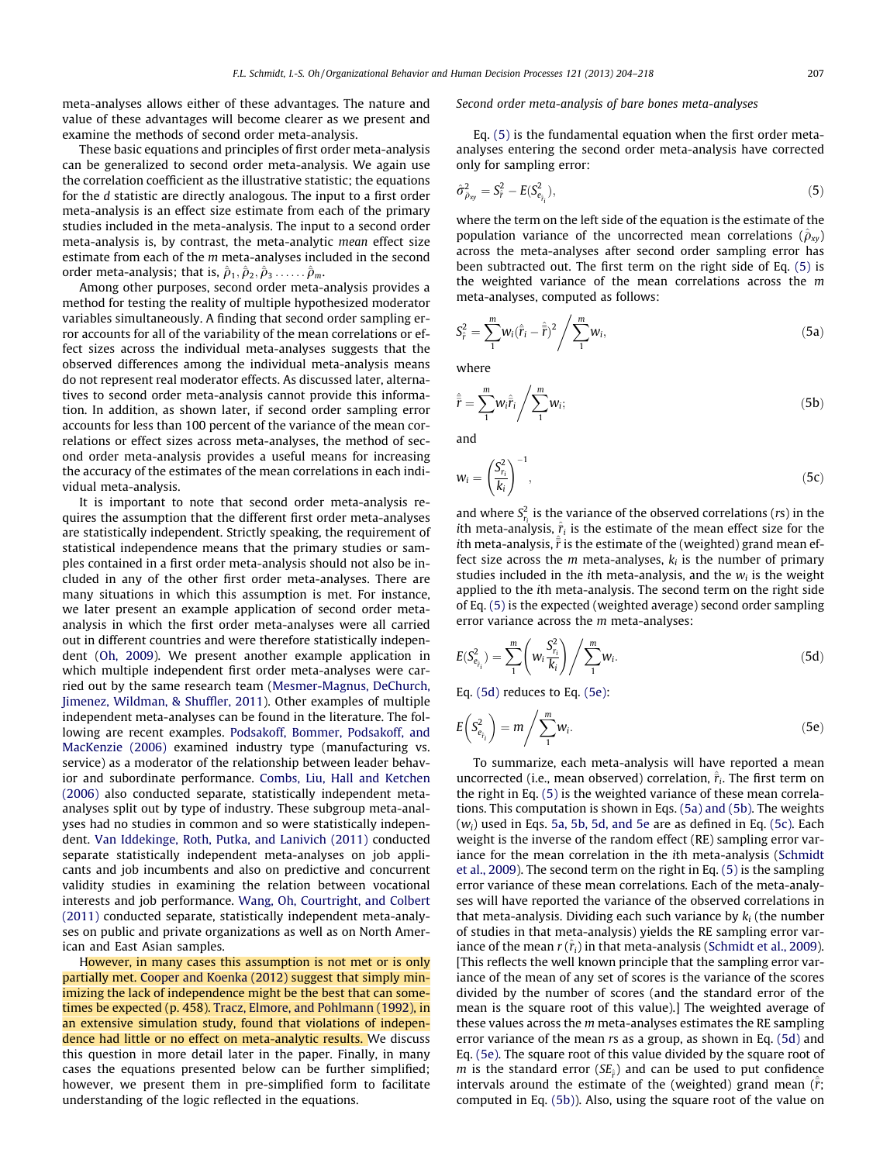meta-analyses allows either of these advantages. The nature and value of these advantages will become clearer as we present and examine the methods of second order meta-analysis.

These basic equations and principles of first order meta-analysis can be generalized to second order meta-analysis. We again use the correlation coefficient as the illustrative statistic; the equations for the *d* statistic are directly analogous. The input to a first order meta-analysis is an effect size estimate from each of the primary studies included in the meta-analysis. The input to a second order meta-analysis is, by contrast, the meta-analytic *mean* effect size estimate from each of the *m* meta-analyses included in the second order meta-analysis; that is,  $\hat{\bar{p}}_1$ ,  $\hat{\bar{p}}_2$ ,  $\hat{\bar{p}}_3$  ......  $\hat{\bar{p}}_m$ .

Among other purposes, second order meta-analysis provides a method for testing the reality of multiple hypothesized moderator variables simultaneously. A finding that second order sampling error accounts for all of the variability of the mean correlations or effect sizes across the individual meta-analyses suggests that the observed differences among the individual meta-analysis means do not represent real moderator effects. As discussed later, alternatives to second order meta-analysis cannot provide this information. In addition, as shown later, if second order sampling error accounts for less than 100 percent of the variance of the mean correlations or effect sizes across meta-analyses, the method of second order meta-analysis provides a useful means for increasing the accuracy of the estimates of the mean correlations in each individual meta-analysis.

It is important to note that second order meta-analysis requires the assumption that the different first order meta-analyses are statistically independent. Strictly speaking, the requirement of statistical independence means that the primary studies or samples contained in a first order meta-analysis should not also be included in any of the other first order meta-analyses. There are many situations in which this assumption is met. For instance, we later present an example application of second order metaanalysis in which the first order meta-analyses were all carried out in different countries and were therefore statistically independent (Oh, 2009). We present another example application in which multiple independent first order meta-analyses were carried out by the same research team (Mesmer-Magnus, DeChurch, Jimenez, Wildman, & Shuffler, 2011). Other examples of multiple independent meta-analyses can be found in the literature. The following are recent examples. Podsakoff, Bommer, Podsakoff, and MacKenzie (2006) examined industry type (manufacturing vs. service) as a moderator of the relationship between leader behavior and subordinate performance. Combs, Liu, Hall and Ketchen (2006) also conducted separate, statistically independent metaanalyses split out by type of industry. These subgroup meta-analyses had no studies in common and so were statistically independent. Van Iddekinge, Roth, Putka, and Lanivich (2011) conducted separate statistically independent meta-analyses on job applicants and job incumbents and also on predictive and concurrent validity studies in examining the relation between vocational interests and job performance. Wang, Oh, Courtright, and Colbert (2011) conducted separate, statistically independent meta-analyses on public and private organizations as well as on North American and East Asian samples.

However, in many cases this assumption is not met or is only partially met. Cooper and Koenka (2012) suggest that simply minimizing the lack of independence might be the best that can sometimes be expected (p. 458). Tracz, Elmore, and Pohlmann (1992), in an extensive simulation study, found that violations of independence had little or no effect on meta-analytic results. We discuss this question in more detail later in the paper. Finally, in many cases the equations presented below can be further simplified; however, we present them in pre-simplified form to facilitate understanding of the logic reflected in the equations.

#### *Second order meta-analysis of bare bones meta-analyses*

Eq. (5) is the fundamental equation when the first order metaanalyses entering the second order meta-analysis have corrected only for sampling error:

$$
\hat{\sigma}^2_{\bar{\rho}_{xy}} = S^2_{\tilde{r}} - E(S^2_{e_{\tilde{r}_i}}),\tag{5}
$$

where the term on the left side of the equation is the estimate of the population variance of the uncorrected mean correlations  $(\hat{\bar{\rho}}_{xy})$ across the meta-analyses after second order sampling error has been subtracted out. The first term on the right side of Eq. (5) is the weighted variance of the mean correlations across the *m* meta-analyses, computed as follows:

$$
S_{\tilde{r}}^2 = \sum_{1}^{m} w_i (\hat{r}_i - \hat{\bar{r}})^2 / \sum_{1}^{m} w_i,
$$
 (5a)

where

$$
\hat{\bar{r}} = \sum_{1}^{m} w_i \hat{r}_i / \sum_{1}^{m} w_i;
$$
\n(5b)

and

$$
w_i = \left(\frac{S_{r_i}^2}{k_i}\right)^{-1},\tag{5c}
$$

and where  $S_{r_i}^2$  is the variance of the observed correlations (*r*s) in the *i*th meta-analysis,  $\hat{r}_i$  is the estimate of the mean effect size for the *i*th meta-analysis,  $\bar{r}$  is the estimate of the (weighted) grand mean effect size across the *m* meta-analyses, *k<sup>i</sup>* is the number of primary studies included in the *i*th meta-analysis, and the *w<sup>i</sup>* is the weight applied to the *i*th meta-analysis. The second term on the right side of Eq. (5) is the expected (weighted average) second order sampling error variance across the *m* meta-analyses:

$$
E(S_{e_{i_i}}^2) = \sum_{1}^{m} \left( w_i \frac{S_{r_i}^2}{k_i} \right) / \sum_{1}^{m} w_i.
$$
 (5d)

Eq. (5d) reduces to Eq. (5e):

$$
E\left(S_{e_{\hat{r}_i}}^2\right) = m \Bigg/ \sum_{1}^{m} w_i. \tag{5e}
$$

To summarize, each meta-analysis will have reported a mean uncorrected (i.e., mean observed) correlation,  $\hat{r}_i$ . The first term on the right in Eq. (5) is the weighted variance of these mean correlations. This computation is shown in Eqs. (5a) and (5b). The weights (*wi*) used in Eqs. 5a, 5b, 5d, and 5e are as defined in Eq. (5c). Each weight is the inverse of the random effect (RE) sampling error variance for the mean correlation in the *i*th meta-analysis (Schmidt et al., 2009). The second term on the right in Eq. (5) is the sampling error variance of these mean correlations. Each of the meta-analyses will have reported the variance of the observed correlations in that meta-analysis. Dividing each such variance by *k<sup>i</sup>* (the number of studies in that meta-analysis) yields the RE sampling error variance of the mean  $r(\hat{r}_i)$  in that meta-analysis (Schmidt et al., 2009). [This reflects the well known principle that the sampling error variance of the mean of any set of scores is the variance of the scores divided by the number of scores (and the standard error of the mean is the square root of this value).] The weighted average of these values across the *m* meta-analyses estimates the RE sampling error variance of the mean *r*s as a group, as shown in Eq. (5d) and Eq. (5e). The square root of this value divided by the square root of *m* is the standard error ( $SE^{\dagger}_{\hat{r}}$ ) and can be used to put confidence intervals around the estimate of the (weighted) grand mean  $(\bar{r};$ computed in Eq. (5b)). Also, using the square root of the value on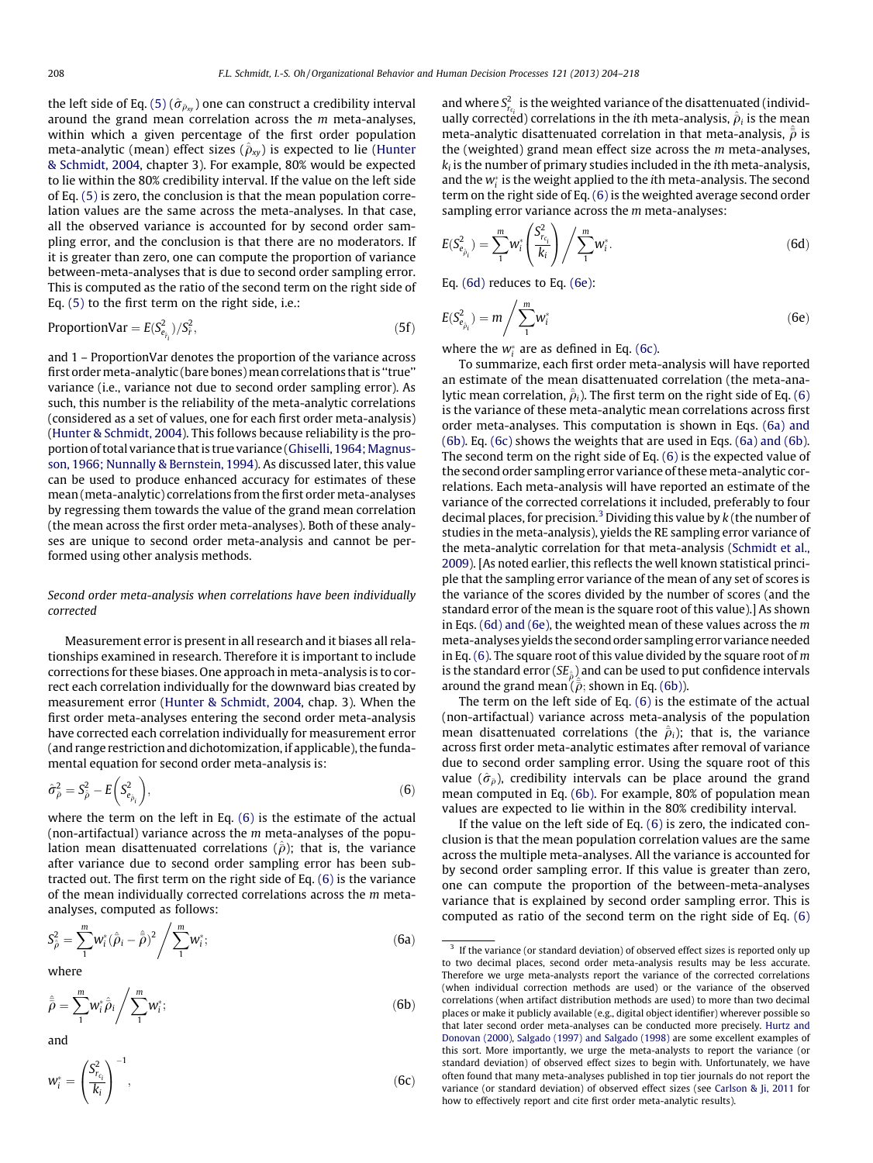the left side of Eq. (5) ( $\hat{\sigma}_{\bar{\rho}_{xy}}$ ) one can construct a credibility interval around the grand mean correlation across the *m* meta-analyses, within which a given percentage of the first order population meta-analytic (mean) effect sizes ( $\hat{\rho}_{xy}$ ) is expected to lie (Hunter & Schmidt, 2004, chapter 3). For example, 80% would be expected to lie within the 80% credibility interval. If the value on the left side of Eq. (5) is zero, the conclusion is that the mean population correlation values are the same across the meta-analyses. In that case, all the observed variance is accounted for by second order sampling error, and the conclusion is that there are no moderators. If it is greater than zero, one can compute the proportion of variance between-meta-analyses that is due to second order sampling error. This is computed as the ratio of the second term on the right side of Eq. (5) to the first term on the right side, i.e.:

$$
ProportionVar = E(S_{e_{\hat{F}_i}}^2)/S_{\hat{F}}^2,
$$
\n(5f)

and 1 – ProportionVar denotes the proportion of the variance across first order meta-analytic (bare bones) mean correlations that is "true" variance (i.e., variance not due to second order sampling error). As such, this number is the reliability of the meta-analytic correlations (considered as a set of values, one for each first order meta-analysis) (Hunter & Schmidt, 2004). This follows because reliability is the proportion of total variance that is true variance (Ghiselli, 1964; Magnusson, 1966; Nunnally & Bernstein, 1994). As discussed later, this value can be used to produce enhanced accuracy for estimates of these mean (meta-analytic) correlations from the first order meta-analyses by regressing them towards the value of the grand mean correlation (the mean across the first order meta-analyses). Both of these analyses are unique to second order meta-analysis and cannot be performed using other analysis methods.

*Second order meta-analysis when correlations have been individually corrected*

Measurement error is present in all research and it biases all relationships examined in research. Therefore it is important to include corrections for these biases. One approach in meta-analysis is to correct each correlation individually for the downward bias created by measurement error (Hunter & Schmidt, 2004, chap. 3). When the first order meta-analyses entering the second order meta-analysis have corrected each correlation individually for measurement error (and range restriction and dichotomization, if applicable), the fundamental equation for second order meta-analysis is:

$$
\hat{\sigma}_{\tilde{\rho}}^2 = S_{\tilde{\rho}}^2 - E\left(S_{e_{\tilde{\rho}_i}}^2\right),\tag{6}
$$

where the term on the left in Eq. (6) is the estimate of the actual (non-artifactual) variance across the *m* meta-analyses of the population mean disattenuated correlations ( $\hat{\rho}$ ); that is, the variance after variance due to second order sampling error has been subtracted out. The first term on the right side of Eq. (6) is the variance of the mean individually corrected correlations across the *m* metaanalyses, computed as follows:

$$
S_{\hat{\rho}}^2 = \sum_{1}^{m} w_i^* (\hat{\rho}_i - \hat{\bar{\rho}})^2 / \sum_{1}^{m} w_i^*;
$$
 (6a)

where

$$
\hat{\bar{\rho}} = \sum_{1}^{m} w_i^* \hat{\rho}_i / \sum_{1}^{m} w_i^*;
$$
\n(6b)

and

$$
w_i^* = \left(\frac{S_{r_{c_i}}^2}{k_i}\right)^{-1},\tag{6c}
$$

and where  $S^2_{r_{c_i}}$  is the weighted variance of the disattenuated (individually corrected) correlations in the *i*th meta-analysis,  $\hat{\rho}_i$  is the mean meta-analytic disattenuated correlation in that meta-analysis,  $\hat{\bar{p}}$  is the (weighted) grand mean effect size across the *m* meta-analyses, *ki* is the number of primary studies included in the *i*th meta-analysis, and the  $w_i^*$  is the weight applied to the *i*th meta-analysis. The second term on the right side of Eq. (6) is the weighted average second order sampling error variance across the *m* meta-analyses:

$$
E(S_{e_{\hat{p}_i}}^2) = \sum_{1}^{m} w_i^* \left(\frac{S_{r_{c_i}}^2}{k_i}\right) / \sum_{1}^{m} w_i^*.
$$
 (6d)

Eq. (6d) reduces to Eq. (6e):

$$
E(S_{e_{\hat{\rho}_i}}^2) = m \Bigg/ \sum_{1}^{m} w_i^* \tag{6e}
$$

where the  $w_i^*$  are as defined in Eq. (6c).

To summarize, each first order meta-analysis will have reported an estimate of the mean disattenuated correlation (the meta-analytic mean correlation,  $\hat{\rho}_i$ ). The first term on the right side of Eq. (6) is the variance of these meta-analytic mean correlations across first order meta-analyses. This computation is shown in Eqs. (6a) and (6b). Eq. (6c) shows the weights that are used in Eqs. (6a) and (6b). The second term on the right side of Eq. (6) is the expected value of the second order sampling error variance of these meta-analytic correlations. Each meta-analysis will have reported an estimate of the variance of the corrected correlations it included, preferably to four decimal places, for precision.<sup>3</sup> Dividing this value by *k* (the number of studies in the meta-analysis), yields the RE sampling error variance of the meta-analytic correlation for that meta-analysis (Schmidt et al., 2009). [As noted earlier, this reflects the well known statistical principle that the sampling error variance of the mean of any set of scores is the variance of the scores divided by the number of scores (and the standard error of the mean is the square root of this value).] As shown in Eqs. (6d) and (6e), the weighted mean of these values across the *m* meta-analyses yields the second order sampling error variance needed in Eq. (6). The square root of this value divided by the square root of *m* is the standard error (*SE*<sub> $\hat{\bar{\rho}}$ </sub>) and can be used to put confidence intervals around the grand mean  $\hat{(\vec{p})}$ ; shown in Eq. (6b)).

The term on the left side of Eq. (6) is the estimate of the actual (non-artifactual) variance across meta-analysis of the population mean disattenuated correlations (the  $\hat{\bar{\rho}}_i$ ); that is, the variance across first order meta-analytic estimates after removal of variance due to second order sampling error. Using the square root of this value ( $\hat{\sigma}_{\bar{\theta}}$ ), credibility intervals can be place around the grand mean computed in Eq. (6b). For example, 80% of population mean values are expected to lie within in the 80% credibility interval.

If the value on the left side of Eq. (6) is zero, the indicated conclusion is that the mean population correlation values are the same across the multiple meta-analyses. All the variance is accounted for by second order sampling error. If this value is greater than zero, one can compute the proportion of the between-meta-analyses variance that is explained by second order sampling error. This is computed as ratio of the second term on the right side of Eq. (6)

<sup>&</sup>lt;sup>3</sup> If the variance (or standard deviation) of observed effect sizes is reported only up to two decimal places, second order meta-analysis results may be less accurate. Therefore we urge meta-analysts report the variance of the corrected correlations (when individual correction methods are used) or the variance of the observed correlations (when artifact distribution methods are used) to more than two decimal places or make it publicly available (e.g., digital object identifier) wherever possible so that later second order meta-analyses can be conducted more precisely. Hurtz and Donovan (2000), Salgado (1997) and Salgado (1998) are some excellent examples of this sort. More importantly, we urge the meta-analysts to report the variance (or standard deviation) of observed effect sizes to begin with. Unfortunately, we have often found that many meta-analyses published in top tier journals do not report the variance (or standard deviation) of observed effect sizes (see Carlson & Ji, 2011 for how to effectively report and cite first order meta-analytic results).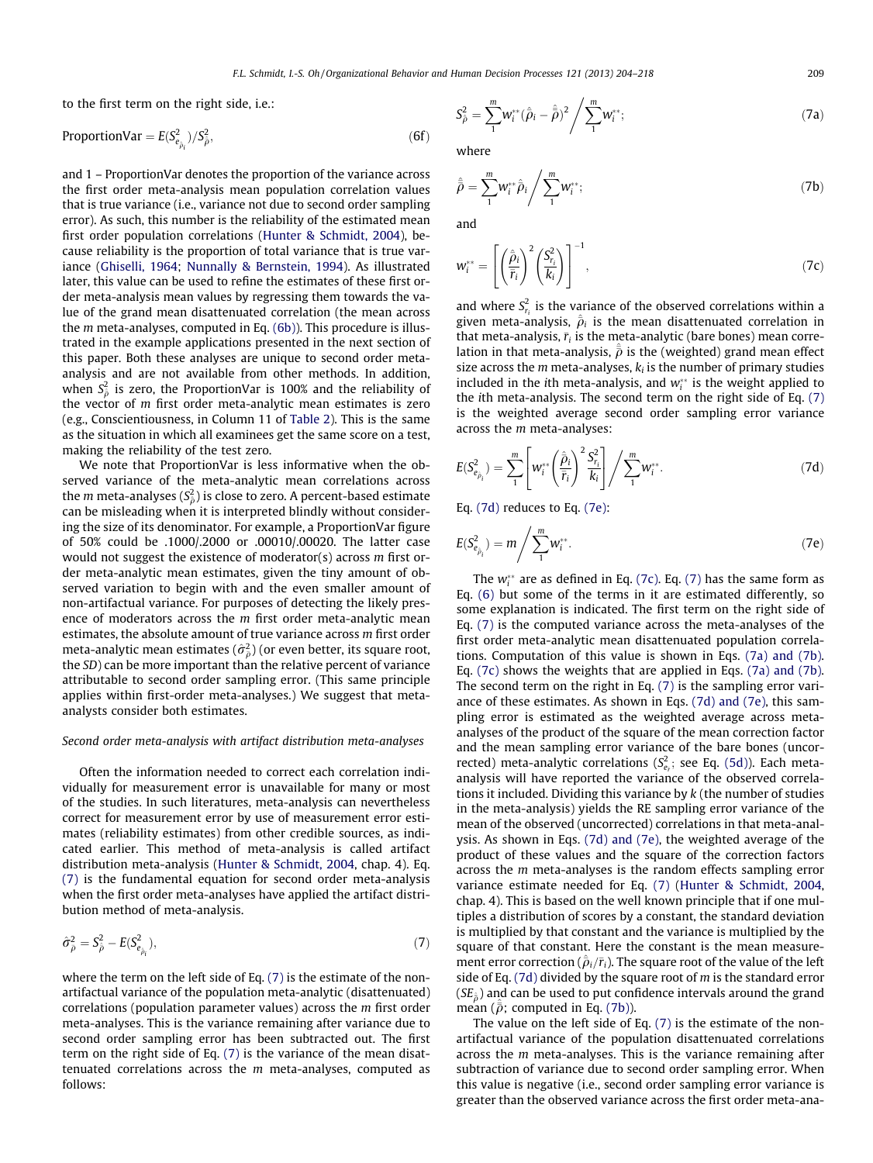to the first term on the right side, i.e.:

$$
ProportionVar = E(S_{e_{\hat{\rho}_i}}^2)/S_{\hat{\rho}}^2,
$$
\n(6f)

and 1 – ProportionVar denotes the proportion of the variance across the first order meta-analysis mean population correlation values that is true variance (i.e., variance not due to second order sampling error). As such, this number is the reliability of the estimated mean first order population correlations (Hunter & Schmidt, 2004), because reliability is the proportion of total variance that is true variance (Ghiselli, 1964; Nunnally & Bernstein, 1994). As illustrated later, this value can be used to refine the estimates of these first order meta-analysis mean values by regressing them towards the value of the grand mean disattenuated correlation (the mean across the *m* meta-analyses, computed in Eq. (6b)). This procedure is illustrated in the example applications presented in the next section of this paper. Both these analyses are unique to second order metaanalysis and are not available from other methods. In addition, when  $S_{\tilde{\rho}}^2$  is zero, the ProportionVar is 100% and the reliability of the vector of *m* first order meta-analytic mean estimates is zero (e.g., Conscientiousness, in Column 11 of Table 2). This is the same as the situation in which all examinees get the same score on a test, making the reliability of the test zero.

We note that ProportionVar is less informative when the observed variance of the meta-analytic mean correlations across the  $m$  meta-analyses ( $S_{\hat{\bar{\rho}}}$ ) is close to zero. A percent-based estimate can be misleading when it is interpreted blindly without considering the size of its denominator. For example, a ProportionVar figure of 50% could be .1000/.2000 or .00010/.00020. The latter case would not suggest the existence of moderator(s) across *m* first order meta-analytic mean estimates, given the tiny amount of observed variation to begin with and the even smaller amount of non-artifactual variance. For purposes of detecting the likely presence of moderators across the *m* first order meta-analytic mean estimates, the absolute amount of true variance across *m* first order meta-analytic mean estimates ( $\hat{\sigma}_{\bar{\rho}}^2$ ) (or even better, its square root, the *SD*) can be more important than the relative percent of variance attributable to second order sampling error. (This same principle applies within first-order meta-analyses.) We suggest that metaanalysts consider both estimates.

## *Second order meta-analysis with artifact distribution meta-analyses*

Often the information needed to correct each correlation individually for measurement error is unavailable for many or most of the studies. In such literatures, meta-analysis can nevertheless correct for measurement error by use of measurement error estimates (reliability estimates) from other credible sources, as indicated earlier. This method of meta-analysis is called artifact distribution meta-analysis (Hunter & Schmidt, 2004, chap. 4). Eq. (7) is the fundamental equation for second order meta-analysis when the first order meta-analyses have applied the artifact distribution method of meta-analysis.

$$
\hat{\sigma}_{\hat{\rho}}^2 = S_{\hat{\rho}}^2 - E(S_{e_{\hat{\rho}_i}}^2),\tag{7}
$$

where the term on the left side of Eq. (7) is the estimate of the nonartifactual variance of the population meta-analytic (disattenuated) correlations (population parameter values) across the *m* first order meta-analyses. This is the variance remaining after variance due to second order sampling error has been subtracted out. The first term on the right side of Eq. (7) is the variance of the mean disattenuated correlations across the *m* meta-analyses, computed as follows:

$$
S_{\hat{\rho}}^2 = \sum_{1}^{m} w_i^{**} (\hat{\rho}_i - \hat{\bar{\rho}})^2 / \sum_{1}^{m} w_i^{**};
$$
\n(7a)

where

$$
\hat{\bar{\rho}} = \sum_{1}^{m} w_i^{**} \hat{\rho}_i / \sum_{1}^{m} w_i^{**};
$$
\n(7b)

and

$$
W_i^{**} = \left[ \left( \frac{\hat{\rho}_i}{\bar{r}_i} \right)^2 \left( \frac{S_{r_i}^2}{k_i} \right) \right]^{-1}, \tag{7c}
$$

and where  $S_{r_i}^2$  is the variance of the observed correlations within a given meta-analysis,  $\hat{\bar{\rho}}_i$  is the mean disattenuated correlation in that meta-analysis,  $\bar{r}_i$  is the meta-analytic (bare bones) mean correlation in that meta-analysis,  $\hat{\bar{p}}$  is the (weighted) grand mean effect size across the *m* meta-analyses, *k<sup>i</sup>* is the number of primary studies included in the *i*th meta-analysis, and  $w_i^{**}$  is the weight applied to the *i*th meta-analysis. The second term on the right side of Eq. (7) is the weighted average second order sampling error variance across the *m* meta-analyses:

$$
E(S_{e_{\hat{p}_i}}^2) = \sum_{1}^{m} \left[ w_i^{**} \left( \frac{\hat{p}_i}{\bar{r}_i} \right)^2 \frac{S_{r_i}^2}{k_i} \right] / \sum_{1}^{m} w_i^{**}.
$$
 (7d)

Eq. (7d) reduces to Eq. (7e):

$$
E(S_{e_{\hat{\rho}_i}}^2) = m / \sum_{1}^{m} w_i^{**}.
$$
 (7e)

The  $w_i^{**}$  are as defined in Eq. (7c). Eq. (7) has the same form as Eq. (6) but some of the terms in it are estimated differently, so some explanation is indicated. The first term on the right side of Eq. (7) is the computed variance across the meta-analyses of the first order meta-analytic mean disattenuated population correlations. Computation of this value is shown in Eqs. (7a) and (7b). Eq. (7c) shows the weights that are applied in Eqs. (7a) and (7b). The second term on the right in Eq. (7) is the sampling error variance of these estimates. As shown in Eqs. (7d) and (7e), this sampling error is estimated as the weighted average across metaanalyses of the product of the square of the mean correction factor and the mean sampling error variance of the bare bones (uncorrected) meta-analytic correlations ( $S_{e_{\tilde{r}}}^2$ ; see Eq. (5d)). Each metaanalysis will have reported the variance of the observed correlations it included. Dividing this variance by *k* (the number of studies in the meta-analysis) yields the RE sampling error variance of the mean of the observed (uncorrected) correlations in that meta-analysis. As shown in Eqs. (7d) and (7e), the weighted average of the product of these values and the square of the correction factors across the *m* meta-analyses is the random effects sampling error variance estimate needed for Eq. (7) (Hunter & Schmidt, 2004, chap. 4). This is based on the well known principle that if one multiples a distribution of scores by a constant, the standard deviation is multiplied by that constant and the variance is multiplied by the square of that constant. Here the constant is the mean measurement error correction ( $\hat{\bar{\rho}}_i/\bar{r}_i$ ). The square root of the value of the left side of Eq. (7d) divided by the square root of *m* is the standard error  $(SE_{\hat{\rho}})$  and can be used to put confidence intervals around the grand mean  $(\hat{\bar{\rho}};$  computed in Eq. (7b)).

The value on the left side of Eq. (7) is the estimate of the nonartifactual variance of the population disattenuated correlations across the *m* meta-analyses. This is the variance remaining after subtraction of variance due to second order sampling error. When this value is negative (i.e., second order sampling error variance is greater than the observed variance across the first order meta-ana-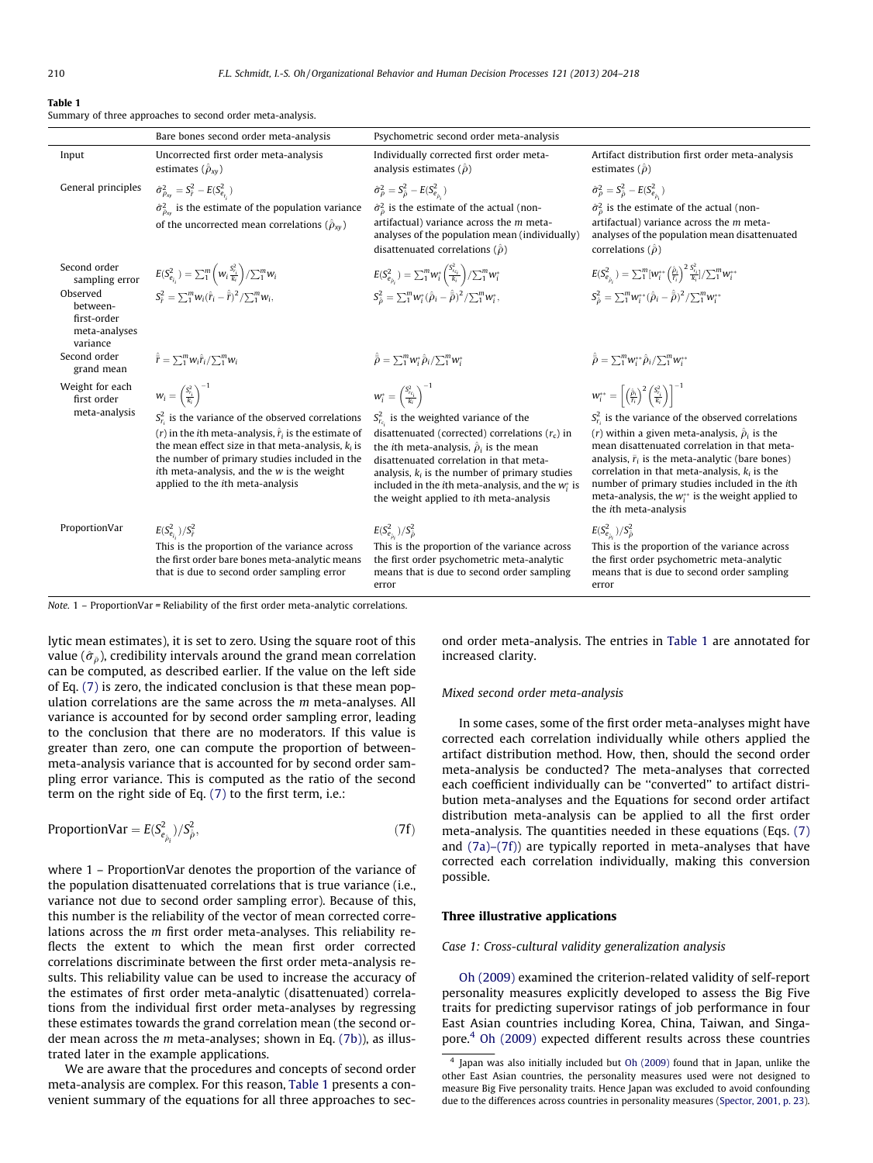| ٠ |  |
|---|--|
|   |  |

|  | Summary of three approaches to second order meta-analysis. |  |  |
|--|------------------------------------------------------------|--|--|
|  |                                                            |  |  |

|                                                                  | Bare bones second order meta-analysis                                                                                                                                                                                                                                                                                                                                                    | Psychometric second order meta-analysis                                                                                                                                                                                                                                                                                                                                                                                                    |                                                                                                                                                                                                                                                                                                                                                                                                                                                                                                                                                                             |
|------------------------------------------------------------------|------------------------------------------------------------------------------------------------------------------------------------------------------------------------------------------------------------------------------------------------------------------------------------------------------------------------------------------------------------------------------------------|--------------------------------------------------------------------------------------------------------------------------------------------------------------------------------------------------------------------------------------------------------------------------------------------------------------------------------------------------------------------------------------------------------------------------------------------|-----------------------------------------------------------------------------------------------------------------------------------------------------------------------------------------------------------------------------------------------------------------------------------------------------------------------------------------------------------------------------------------------------------------------------------------------------------------------------------------------------------------------------------------------------------------------------|
| Input                                                            | Uncorrected first order meta-analysis<br>estimates $(\hat{\rho}_{xy})$                                                                                                                                                                                                                                                                                                                   | Individually corrected first order meta-<br>analysis estimates $(\hat{\rho})$                                                                                                                                                                                                                                                                                                                                                              | Artifact distribution first order meta-analysis<br>estimates $(\hat{\rho})$                                                                                                                                                                                                                                                                                                                                                                                                                                                                                                 |
| General principles                                               | $\hat{\sigma}^2_{\hat{p}_{xy}} = S^2_{\hat{r}} - E(S^2_{e_{\hat{r}}})$<br>$\hat{\sigma}^2_{\bar{p}_w}$ is the estimate of the population variance<br>of the uncorrected mean correlations ( $\hat{\bar{\rho}}_{xy}$ )                                                                                                                                                                    | $\hat{\sigma}_{\hat{p}}^2 = S_{\hat{p}}^2 - E(S_{e_{\hat{p}}}^2)$<br>$\hat{\sigma}_{\overline{\rho}}^2$ is the estimate of the actual (non-<br>artifactual) variance across the m meta-<br>analyses of the population mean (individually)<br>disattenuated correlations $(\hat{\rho})$                                                                                                                                                     | $\hat{\sigma}_{\hat{\rho}}^2 = S_{\hat{\rho}}^2 - E(S_{e_{\hat{\rho}}}^2)$<br>$\hat{\sigma}_{\overline{\rho}}^2$ is the estimate of the actual (non-<br>artifactual) variance across the $m$ meta-<br>analyses of the population mean disattenuated<br>correlations $(\hat{\rho})$                                                                                                                                                                                                                                                                                          |
| Second order<br>sampling error                                   | $E(S_{e_{\hat{r}_i}}^2) = \sum_{1}^{m} \left( w_i \frac{S_{r_i}^2}{k_i} \right) / \sum_{1}^{m} w_i$                                                                                                                                                                                                                                                                                      | $E(S_{e_{\hat{p}_i}}^2) = \sum_{1}^{m} w_i^* \left( \frac{S_{r_{c_i}}^2}{k_i} \right) / \sum_{1}^{m} w_i^*$                                                                                                                                                                                                                                                                                                                                | $E(S_{e_{\hat{n},\cdot}}^2) = \sum_{1}^{m} [W_i^{**} \left(\frac{\hat{\rho}_i}{\hat{r}_i}\right)^2 \frac{S_{r_i}^2}{k_i}] / \sum_{1}^{m} W_i^{**}$                                                                                                                                                                                                                                                                                                                                                                                                                          |
| Observed<br>between-<br>first-order<br>meta-analyses<br>variance | $S_{\hat{r}}^2 = \sum_{1}^{m} w_i (\hat{r}_i - \hat{\bar{r}})^2 / \sum_{1}^{m} w_i$                                                                                                                                                                                                                                                                                                      | $S_{\hat{\rho}}^2 = \sum_{i=1}^{m} w_i^*(\hat{\rho}_i - \hat{\bar{\rho}})^2 / \sum_{i=1}^{m} w_i^*$                                                                                                                                                                                                                                                                                                                                        | $S_{\hat{\rho}}^2 = \sum_{1}^{m} w_i^{**} (\hat{\rho}_i - \hat{\bar{\rho}})^2 / \sum_{1}^{m} w_i^{**}$                                                                                                                                                                                                                                                                                                                                                                                                                                                                      |
| Second order<br>grand mean                                       | $\hat{\bar{r}} = \sum_{1}^{m} w_i \hat{r}_i / \sum_{1}^{m} w_i$                                                                                                                                                                                                                                                                                                                          | $\hat{\bar{\rho}} = \sum_{1}^{m} w_i^* \hat{\bar{\rho}}_i / \sum_{1}^{m} w_i^*$                                                                                                                                                                                                                                                                                                                                                            | $\hat{\bar{\rho}} = \sum_1^m w_i^{**} \hat{\bar{\rho}}_i / \sum_1^m w_i^{**}$                                                                                                                                                                                                                                                                                                                                                                                                                                                                                               |
| Weight for each<br>first order<br>meta-analysis                  | $W_i = \left(\frac{S_{r_i}^2}{k_i}\right)^{-1}$<br>$S_{r_i}^2$ is the variance of the observed correlations<br>$(r)$ in the <i>i</i> th meta-analysis, $\hat{\vec{r}}_i$ is the estimate of<br>the mean effect size in that meta-analysis, $k_i$ is<br>the number of primary studies included in the<br>ith meta-analysis, and the $w$ is the weight<br>applied to the ith meta-analysis | $w_i^* = \left(\frac{S_{r_{c_i}}^2}{k_i}\right)^{-1}$<br>$S_{r_{c_i}}^2$ is the weighted variance of the<br>disattenuated (corrected) correlations $(r_c)$ in<br>the <i>i</i> th meta-analysis, $\hat{p}_i$ is the mean<br>disattenuated correlation in that meta-<br>analysis, $k_i$ is the number of primary studies<br>included in the <i>i</i> th meta-analysis, and the $w_i^*$ is<br>the weight applied to <i>i</i> th meta-analysis | $\boldsymbol{W}_{\boldsymbol{l}}^{**}=\bigg[\Big(\frac{\hat{\rho}_i}{\bar{r}_i}\Big)^2\Big(\frac{S_{\bar{r}_i}^2}{k_i}\Big)\bigg]^{-1}$<br>$S_{r_i}^2$ is the variance of the observed correlations<br>(r) within a given meta-analysis, $\hat{\bar{\rho}}_i$ is the<br>mean disattenuated correlation in that meta-<br>analysis, $\bar{r}_i$ is the meta-analytic (bare bones)<br>correlation in that meta-analysis, $k_i$ is the<br>number of primary studies included in the ith<br>meta-analysis, the $w_i^*$ is the weight applied to<br>the <i>i</i> th meta-analysis |
| ProportionVar                                                    | $E(S_{e_{\hat{r}}.}^2)/S_{\hat{r}}^2$<br>This is the proportion of the variance across<br>the first order bare bones meta-analytic means<br>that is due to second order sampling error                                                                                                                                                                                                   | $E(S_{e_{\hat{n}}})/S_{\hat{p}}^2$<br>This is the proportion of the variance across<br>the first order psychometric meta-analytic<br>means that is due to second order sampling<br>error                                                                                                                                                                                                                                                   | $E(S_{e_{\hat{n}}})/S_{\hat{p}}^2$<br>This is the proportion of the variance across<br>the first order psychometric meta-analytic<br>means that is due to second order sampling<br>error                                                                                                                                                                                                                                                                                                                                                                                    |

*Note.* 1 – ProportionVar *=* Reliability of the first order meta-analytic correlations.

lytic mean estimates), it is set to zero. Using the square root of this value ( $\hat{\sigma}_o$ ), credibility intervals around the grand mean correlation can be computed, as described earlier. If the value on the left side of Eq. (7) is zero, the indicated conclusion is that these mean population correlations are the same across the *m* meta-analyses. All variance is accounted for by second order sampling error, leading to the conclusion that there are no moderators. If this value is greater than zero, one can compute the proportion of betweenmeta-analysis variance that is accounted for by second order sampling error variance. This is computed as the ratio of the second term on the right side of Eq. (7) to the first term, i.e.:

$$
ProportionVar = E(S_{e_{\hat{\rho}_i}}^2)/S_{\hat{\rho}}^2,
$$
\n(7f)

where 1 – ProportionVar denotes the proportion of the variance of the population disattenuated correlations that is true variance (i.e., variance not due to second order sampling error). Because of this, this number is the reliability of the vector of mean corrected correlations across the *m* first order meta-analyses. This reliability reflects the extent to which the mean first order corrected correlations discriminate between the first order meta-analysis results. This reliability value can be used to increase the accuracy of the estimates of first order meta-analytic (disattenuated) correlations from the individual first order meta-analyses by regressing these estimates towards the grand correlation mean (the second order mean across the *m* meta-analyses; shown in Eq. (7b)), as illustrated later in the example applications.

We are aware that the procedures and concepts of second order meta-analysis are complex. For this reason, Table 1 presents a convenient summary of the equations for all three approaches to second order meta-analysis. The entries in Table 1 are annotated for increased clarity.

#### *Mixed second order meta-analysis*

In some cases, some of the first order meta-analyses might have corrected each correlation individually while others applied the artifact distribution method. How, then, should the second order meta-analysis be conducted? The meta-analyses that corrected each coefficient individually can be ''converted'' to artifact distribution meta-analyses and the Equations for second order artifact distribution meta-analysis can be applied to all the first order meta-analysis. The quantities needed in these equations (Eqs. (7) and (7a)–(7f)) are typically reported in meta-analyses that have corrected each correlation individually, making this conversion possible.

## Three illustrative applications

## *Case 1: Cross-cultural validity generalization analysis*

Oh (2009) examined the criterion-related validity of self-report personality measures explicitly developed to assess the Big Five traits for predicting supervisor ratings of job performance in four East Asian countries including Korea, China, Taiwan, and Singapore.<sup>4</sup> Oh (2009) expected different results across these countries

<sup>&</sup>lt;sup>4</sup> Japan was also initially included but Oh (2009) found that in Japan, unlike the other East Asian countries, the personality measures used were not designed to measure Big Five personality traits. Hence Japan was excluded to avoid confounding due to the differences across countries in personality measures (Spector, 2001, p. 23).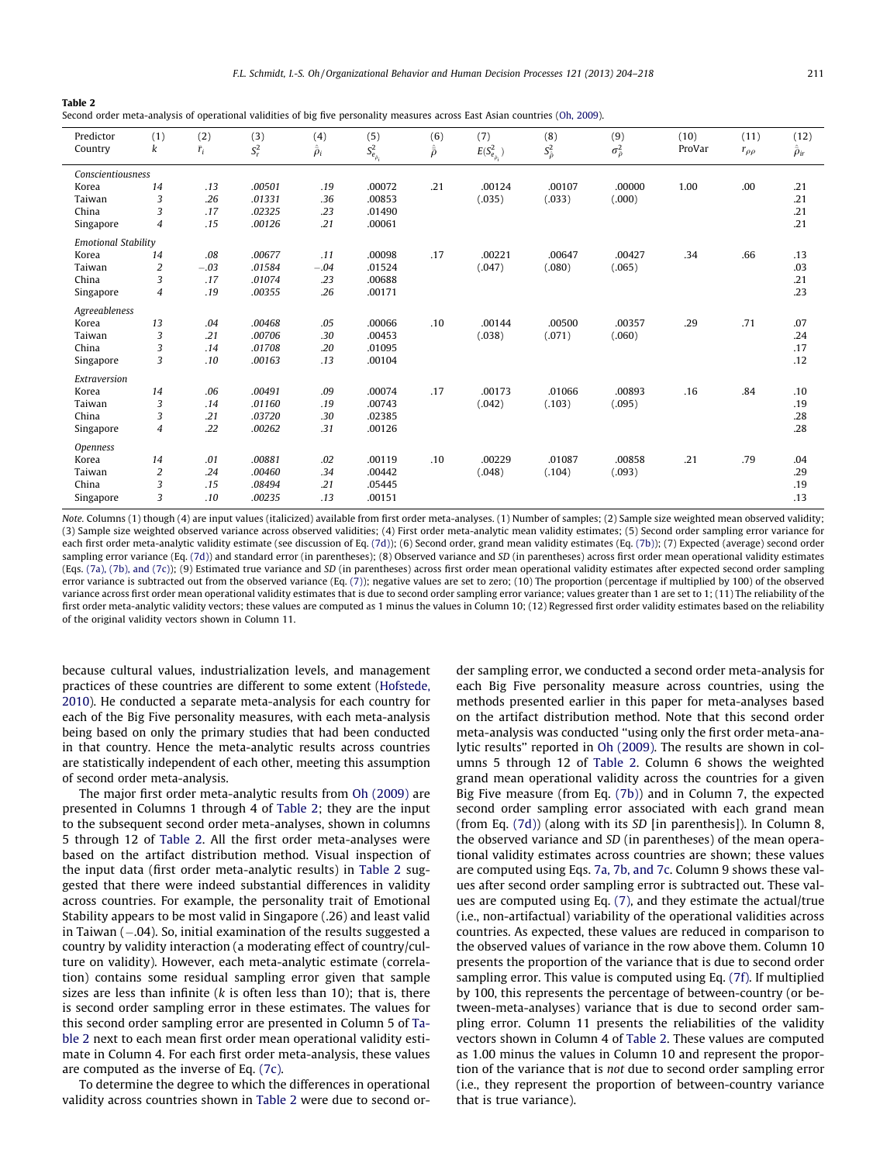| <b>Table 2</b>                                                                                                                |  |
|-------------------------------------------------------------------------------------------------------------------------------|--|
| Second order meta-analysis of operational validities of big five personality measures across East Asian countries (Oh, 2009). |  |

| Predictor<br>Country       | (1)<br>k       | (2)<br>$\bar{r}_i$ | (3)<br>$S_r^2$ | (4)<br>$\hat{\bar{\rho}}_i$ | (5)<br>$S^2_{e_{\hat{\rho}_i}}$ | (6)<br>$\hat{\bar{\rho}}$ | (7)<br>$E(S^2_{e_{\hat{p}_i}})$ | (8)<br>$S^2_{\hat{\rho}}$ | (9)<br>$\sigma_{\bar{\rho}}^2$ | (10)<br>ProVar | (11)<br>$r_{\rho\rho}$ | (12)<br>$\hat{\bar{\rho}}_{ir}$ |
|----------------------------|----------------|--------------------|----------------|-----------------------------|---------------------------------|---------------------------|---------------------------------|---------------------------|--------------------------------|----------------|------------------------|---------------------------------|
|                            |                |                    |                |                             |                                 |                           |                                 |                           |                                |                |                        |                                 |
| Conscientiousness          |                |                    |                |                             |                                 |                           |                                 |                           |                                |                |                        |                                 |
| Korea                      | 14             | .13                | .00501         | .19                         | .00072                          | .21                       | .00124                          | .00107                    | .00000                         | 1.00           | .00                    | .21                             |
| Taiwan                     | 3              | .26                | .01331         | .36                         | .00853                          |                           | (.035)                          | (.033)                    | (000)                          |                |                        | .21                             |
| China                      | 3              | .17                | .02325         | .23                         | .01490                          |                           |                                 |                           |                                |                |                        | .21                             |
| Singapore                  | $\overline{4}$ | .15                | .00126         | .21                         | .00061                          |                           |                                 |                           |                                |                |                        | .21                             |
| <b>Emotional Stability</b> |                |                    |                |                             |                                 |                           |                                 |                           |                                |                |                        |                                 |
| Korea                      | 14             | .08                | .00677         | .11                         | .00098                          | .17                       | .00221                          | .00647                    | .00427                         | .34            | .66                    | .13                             |
| Taiwan                     | 2              | $-.03$             | .01584         | $-.04$                      | .01524                          |                           | (.047)                          | (.080)                    | (.065)                         |                |                        | .03                             |
| China                      | 3              | .17                | .01074         | .23                         | .00688                          |                           |                                 |                           |                                |                |                        | .21                             |
| Singapore                  | $\overline{4}$ | .19                | .00355         | .26                         | .00171                          |                           |                                 |                           |                                |                |                        | .23                             |
| Agreeableness              |                |                    |                |                             |                                 |                           |                                 |                           |                                |                |                        |                                 |
| Korea                      | 13             | .04                | .00468         | .05                         | .00066                          | .10                       | .00144                          | .00500                    | .00357                         | .29            | .71                    | .07                             |
| Taiwan                     | 3              | .21                | .00706         | .30                         | .00453                          |                           | (.038)                          | (.071)                    | (.060)                         |                |                        | .24                             |
| China                      | 3              | .14                | .01708         | .20                         | .01095                          |                           |                                 |                           |                                |                |                        | .17                             |
| Singapore                  | 3              | .10                | .00163         | .13                         | .00104                          |                           |                                 |                           |                                |                |                        | .12                             |
| Extraversion               |                |                    |                |                             |                                 |                           |                                 |                           |                                |                |                        |                                 |
| Korea                      | 14             | .06                | .00491         | .09                         | .00074                          | .17                       | .00173                          | .01066                    | .00893                         | .16            | .84                    | .10                             |
| Taiwan                     | 3              | .14                | .01160         | .19                         | .00743                          |                           | (.042)                          | (.103)                    | (.095)                         |                |                        | .19                             |
| China                      | 3              | .21                | .03720         | .30                         | .02385                          |                           |                                 |                           |                                |                |                        | .28                             |
| Singapore                  | $\overline{4}$ | .22                | .00262         | .31                         | .00126                          |                           |                                 |                           |                                |                |                        | .28                             |
| <b>Openness</b>            |                |                    |                |                             |                                 |                           |                                 |                           |                                |                |                        |                                 |
| Korea                      | 14             | .01                | .00881         | .02                         | .00119                          | .10                       | .00229                          | .01087                    | .00858                         | .21            | .79                    | .04                             |
| Taiwan                     | $\overline{c}$ | .24                | .00460         | .34                         | .00442                          |                           | (.048)                          | (.104)                    | (.093)                         |                |                        | .29                             |
| China                      | 3              | .15                | .08494         | .21                         | .05445                          |                           |                                 |                           |                                |                |                        | .19                             |
| Singapore                  | 3              | .10                | .00235         | .13                         | .00151                          |                           |                                 |                           |                                |                |                        | .13                             |

*Note.* Columns (1) though (4) are input values (italicized) available from first order meta-analyses. (1) Number of samples; (2) Sample size weighted mean observed validity; (3) Sample size weighted observed variance across observed validities; (4) First order meta-analytic mean validity estimates; (5) Second order sampling error variance for each first order meta-analytic validity estimate (see discussion of Eq. (7d)); (6) Second order, grand mean validity estimates (Eq. (7b)); (7) Expected (average) second order sampling error variance (Eq. (7d)) and standard error (in parentheses); (8) Observed variance and *SD* (in parentheses) across first order mean operational validity estimates (Eqs. (7a), (7b), and (7c)); (9) Estimated true variance and *SD* (in parentheses) across first order mean operational validity estimates after expected second order sampling error variance is subtracted out from the observed variance (Eq. (7)); negative values are set to zero; (10) The proportion (percentage if multiplied by 100) of the observed variance across first order mean operational validity estimates that is due to second order sampling error variance; values greater than 1 are set to 1; (11) The reliability of the first order meta-analytic validity vectors; these values are computed as 1 minus the values in Column 10; (12) Regressed first order validity estimates based on the reliability of the original validity vectors shown in Column 11.

because cultural values, industrialization levels, and management practices of these countries are different to some extent (Hofstede, 2010). He conducted a separate meta-analysis for each country for each of the Big Five personality measures, with each meta-analysis being based on only the primary studies that had been conducted in that country. Hence the meta-analytic results across countries are statistically independent of each other, meeting this assumption of second order meta-analysis.

The major first order meta-analytic results from Oh (2009) are presented in Columns 1 through 4 of Table 2; they are the input to the subsequent second order meta-analyses, shown in columns 5 through 12 of Table 2. All the first order meta-analyses were based on the artifact distribution method. Visual inspection of the input data (first order meta-analytic results) in Table 2 suggested that there were indeed substantial differences in validity across countries. For example, the personality trait of Emotional Stability appears to be most valid in Singapore (.26) and least valid in Taiwan  $(-.04)$ . So, initial examination of the results suggested a country by validity interaction (a moderating effect of country/culture on validity). However, each meta-analytic estimate (correlation) contains some residual sampling error given that sample sizes are less than infinite (*k* is often less than 10); that is, there is second order sampling error in these estimates. The values for this second order sampling error are presented in Column 5 of Table 2 next to each mean first order mean operational validity estimate in Column 4. For each first order meta-analysis, these values are computed as the inverse of Eq. (7c).

To determine the degree to which the differences in operational validity across countries shown in Table 2 were due to second order sampling error, we conducted a second order meta-analysis for each Big Five personality measure across countries, using the methods presented earlier in this paper for meta-analyses based on the artifact distribution method. Note that this second order meta-analysis was conducted ''using only the first order meta-analytic results'' reported in Oh (2009). The results are shown in columns 5 through 12 of Table 2. Column 6 shows the weighted grand mean operational validity across the countries for a given Big Five measure (from Eq. (7b)) and in Column 7, the expected second order sampling error associated with each grand mean (from Eq. (7d)) (along with its *SD* [in parenthesis]). In Column 8, the observed variance and *SD* (in parentheses) of the mean operational validity estimates across countries are shown; these values are computed using Eqs. 7a, 7b, and 7c. Column 9 shows these values after second order sampling error is subtracted out. These values are computed using Eq. (7), and they estimate the actual/true (i.e., non-artifactual) variability of the operational validities across countries. As expected, these values are reduced in comparison to the observed values of variance in the row above them. Column 10 presents the proportion of the variance that is due to second order sampling error. This value is computed using Eq. (7f). If multiplied by 100, this represents the percentage of between-country (or between-meta-analyses) variance that is due to second order sampling error. Column 11 presents the reliabilities of the validity vectors shown in Column 4 of Table 2. These values are computed as 1.00 minus the values in Column 10 and represent the proportion of the variance that is *not* due to second order sampling error (i.e., they represent the proportion of between-country variance that is true variance).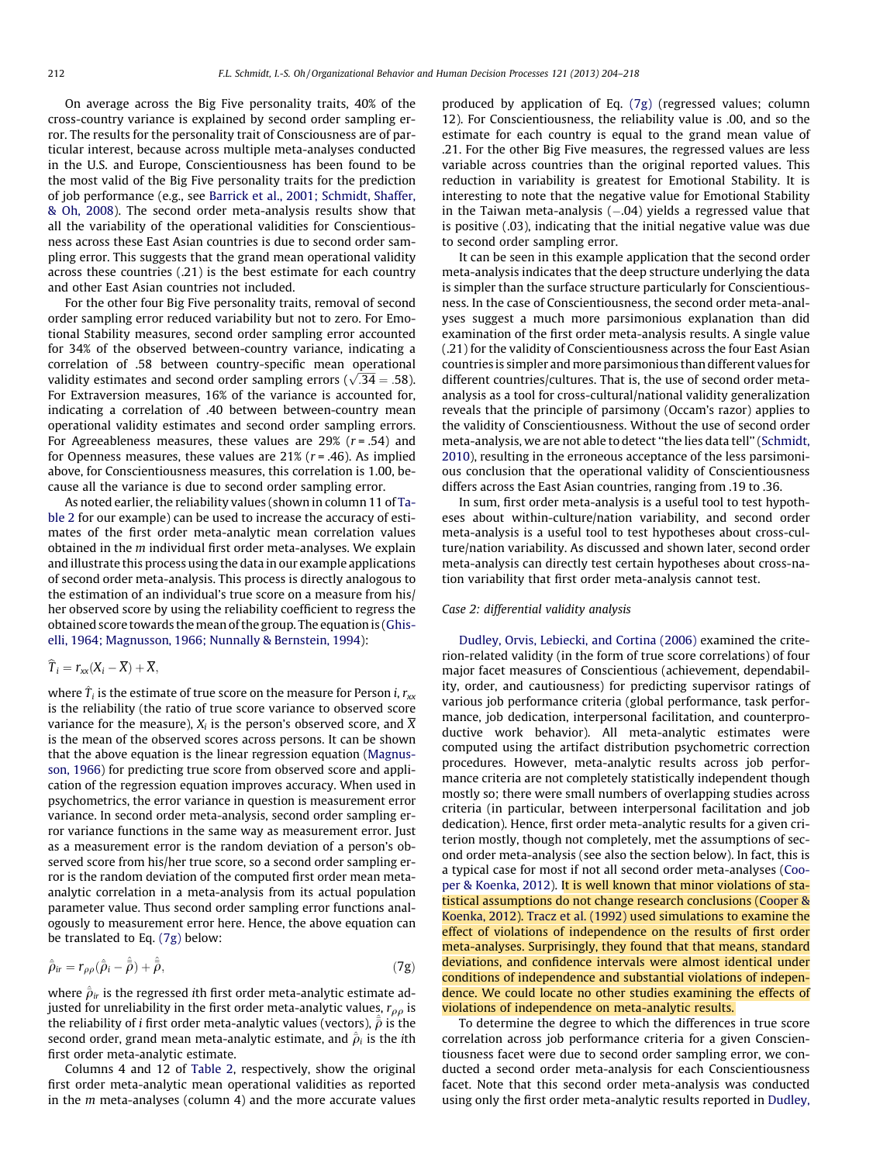On average across the Big Five personality traits, 40% of the cross-country variance is explained by second order sampling error. The results for the personality trait of Consciousness are of particular interest, because across multiple meta-analyses conducted in the U.S. and Europe, Conscientiousness has been found to be the most valid of the Big Five personality traits for the prediction of job performance (e.g., see Barrick et al., 2001; Schmidt, Shaffer, & Oh, 2008). The second order meta-analysis results show that all the variability of the operational validities for Conscientiousness across these East Asian countries is due to second order sampling error. This suggests that the grand mean operational validity across these countries (.21) is the best estimate for each country and other East Asian countries not included.

For the other four Big Five personality traits, removal of second order sampling error reduced variability but not to zero. For Emotional Stability measures, second order sampling error accounted for 34% of the observed between-country variance, indicating a correlation of .58 between country-specific mean operational validity estimates and second order sampling errors ( $\sqrt{.34} = .58$ ). For Extraversion measures, 16% of the variance is accounted for, indicating a correlation of .40 between between-country mean operational validity estimates and second order sampling errors. For Agreeableness measures, these values are 29% (*r* = .54) and for Openness measures, these values are 21% (*r* = .46). As implied above, for Conscientiousness measures, this correlation is 1.00, because all the variance is due to second order sampling error.

As noted earlier, the reliability values (shown in column 11 of Table 2 for our example) can be used to increase the accuracy of estimates of the first order meta-analytic mean correlation values obtained in the *m* individual first order meta-analyses. We explain and illustrate this process using the data in our example applications of second order meta-analysis. This process is directly analogous to the estimation of an individual's true score on a measure from his/ her observed score by using the reliability coefficient to regress the obtained score towards the mean of the group. The equation is (Ghiselli, 1964; Magnusson, 1966; Nunnally & Bernstein, 1994):

## $\widehat{T}_i = r_{xx}(X_i - \overline{X}) + \overline{X}$

where  $\hat{T}_i$  is the estimate of true score on the measure for Person  $i$ ,  $r_{\mathsf{xx}}$ is the reliability (the ratio of true score variance to observed score variance for the measure), *X<sup>i</sup>* is the person's observed score, and *X* is the mean of the observed scores across persons. It can be shown that the above equation is the linear regression equation (Magnusson, 1966) for predicting true score from observed score and application of the regression equation improves accuracy. When used in psychometrics, the error variance in question is measurement error variance. In second order meta-analysis, second order sampling error variance functions in the same way as measurement error. Just as a measurement error is the random deviation of a person's observed score from his/her true score, so a second order sampling error is the random deviation of the computed first order mean metaanalytic correlation in a meta-analysis from its actual population parameter value. Thus second order sampling error functions analogously to measurement error here. Hence, the above equation can be translated to Eq. (7g) below:

$$
\hat{\bar{\rho}}_{ir} = r_{\rho\rho}(\hat{\bar{\rho}}_i - \hat{\bar{\bar{\rho}}}) + \hat{\bar{\bar{\rho}}},\tag{7g}
$$

where  $\hat{\rho}_{ir}$  is the regressed *i*th first order meta-analytic estimate adjusted for unreliability in the first order meta-analytic values,  $r_{oo}$  is the reliability of *i* first order meta-analytic values (vectors),  $\hat{\bar{\bar{\rho}}}$  is the second order, grand mean meta-analytic estimate, and  $\hat{\bar{\rho}}_i$  is the *i*th first order meta-analytic estimate.

Columns 4 and 12 of Table 2, respectively, show the original first order meta-analytic mean operational validities as reported in the *m* meta-analyses (column 4) and the more accurate values

produced by application of Eq. (7g) (regressed values; column 12). For Conscientiousness, the reliability value is .00, and so the estimate for each country is equal to the grand mean value of .21. For the other Big Five measures, the regressed values are less variable across countries than the original reported values. This reduction in variability is greatest for Emotional Stability. It is interesting to note that the negative value for Emotional Stability in the Taiwan meta-analysis  $(-.04)$  yields a regressed value that is positive (.03), indicating that the initial negative value was due to second order sampling error.

It can be seen in this example application that the second order meta-analysis indicates that the deep structure underlying the data is simpler than the surface structure particularly for Conscientiousness. In the case of Conscientiousness, the second order meta-analyses suggest a much more parsimonious explanation than did examination of the first order meta-analysis results. A single value (.21) for the validity of Conscientiousness across the four East Asian countries is simpler and more parsimonious than different values for different countries/cultures. That is, the use of second order metaanalysis as a tool for cross-cultural/national validity generalization reveals that the principle of parsimony (Occam's razor) applies to the validity of Conscientiousness. Without the use of second order meta-analysis, we are not able to detect ''the lies data tell'' (Schmidt, 2010), resulting in the erroneous acceptance of the less parsimonious conclusion that the operational validity of Conscientiousness differs across the East Asian countries, ranging from .19 to .36.

In sum, first order meta-analysis is a useful tool to test hypotheses about within-culture/nation variability, and second order meta-analysis is a useful tool to test hypotheses about cross-culture/nation variability. As discussed and shown later, second order meta-analysis can directly test certain hypotheses about cross-nation variability that first order meta-analysis cannot test.

## *Case 2: differential validity analysis*

Dudley, Orvis, Lebiecki, and Cortina (2006) examined the criterion-related validity (in the form of true score correlations) of four major facet measures of Conscientious (achievement, dependability, order, and cautiousness) for predicting supervisor ratings of various job performance criteria (global performance, task performance, job dedication, interpersonal facilitation, and counterproductive work behavior). All meta-analytic estimates were computed using the artifact distribution psychometric correction procedures. However, meta-analytic results across job performance criteria are not completely statistically independent though mostly so; there were small numbers of overlapping studies across criteria (in particular, between interpersonal facilitation and job dedication). Hence, first order meta-analytic results for a given criterion mostly, though not completely, met the assumptions of second order meta-analysis (see also the section below). In fact, this is a typical case for most if not all second order meta-analyses (Cooper & Koenka, 2012). It is well known that minor violations of statistical assumptions do not change research conclusions (Cooper & Koenka, 2012). Tracz et al. (1992) used simulations to examine the effect of violations of independence on the results of first order meta-analyses. Surprisingly, they found that that means, standard deviations, and confidence intervals were almost identical under conditions of independence and substantial violations of independence. We could locate no other studies examining the effects of violations of independence on meta-analytic results.

To determine the degree to which the differences in true score correlation across job performance criteria for a given Conscientiousness facet were due to second order sampling error, we conducted a second order meta-analysis for each Conscientiousness facet. Note that this second order meta-analysis was conducted using only the first order meta-analytic results reported in Dudley,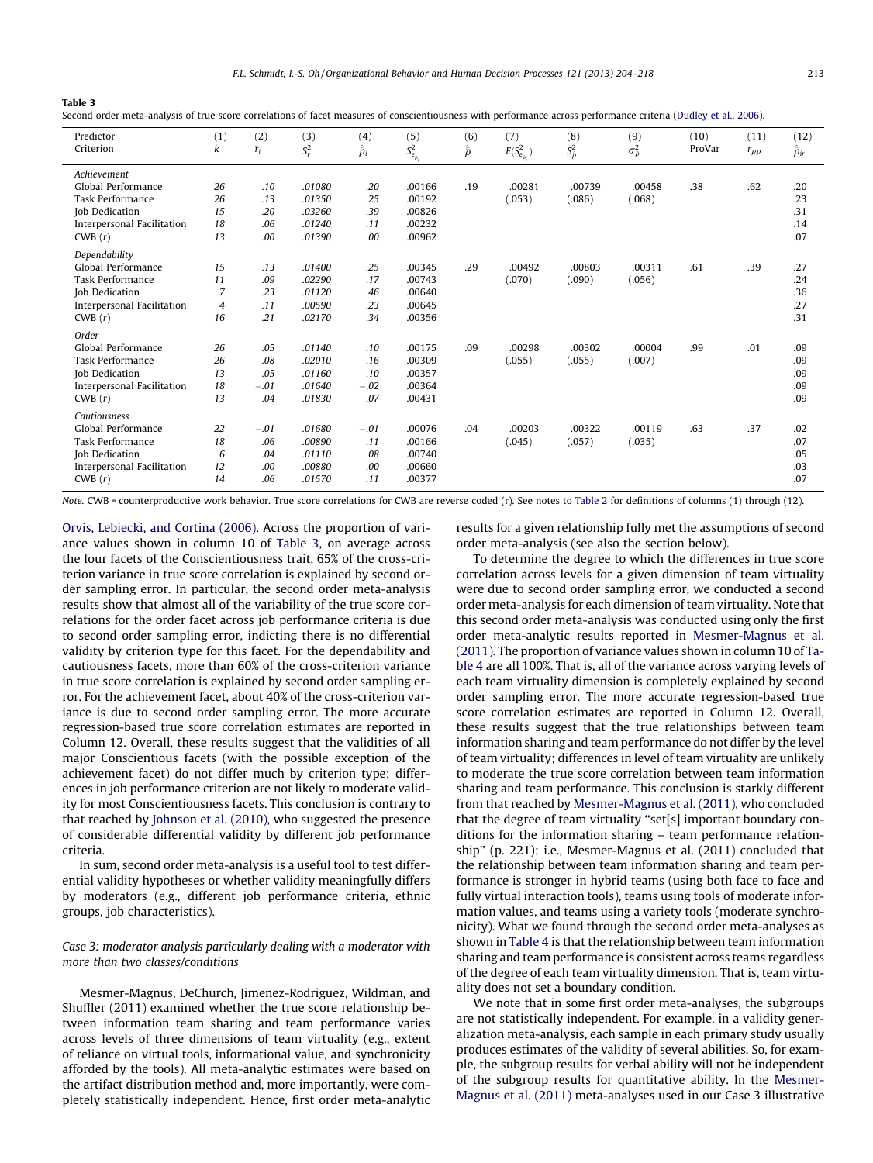Table 3

Second order meta-analysis of true score correlations of facet measures of conscientiousness with performance across performance criteria (Dudley et al., 2006).

| Predictor                  | (1)            | (2)         | (3)     | (4)                  | (5)                      | (6)                | (7)                      | (8)                      | (9)                   | (10)   | (11)           | (12)                    |
|----------------------------|----------------|-------------|---------|----------------------|--------------------------|--------------------|--------------------------|--------------------------|-----------------------|--------|----------------|-------------------------|
| Criterion                  | k              | $\bar{r}_i$ | $S_r^2$ | $\hat{\bar{\rho}}_i$ | $S^2_{e_{\hat{\rho}_i}}$ | $\hat{\bar{\rho}}$ | $E(S^2_{e_{\hat{p}_i}})$ | $S^2_{\hat{\bar{\rho}}}$ | $\sigma^2_{\bar\rho}$ | ProVar | $r_{\rho\rho}$ | $\hat{\bar{\rho}}_{ir}$ |
| Achievement                |                |             |         |                      |                          |                    |                          |                          |                       |        |                |                         |
| Global Performance         | 26             | .10         | .01080  | .20                  | .00166                   | .19                | .00281                   | .00739                   | .00458                | .38    | .62            | .20                     |
| <b>Task Performance</b>    | 26             | .13         | .01350  | .25                  | .00192                   |                    | (.053)                   | (.086)                   | (.068)                |        |                | .23                     |
| Job Dedication             | 15             | .20         | .03260  | .39                  | .00826                   |                    |                          |                          |                       |        |                | .31                     |
| Interpersonal Facilitation | 18             | .06         | .01240  | .11                  | .00232                   |                    |                          |                          |                       |        |                | .14                     |
| CWB(r)                     | 13             | .00         | .01390  | .00.                 | .00962                   |                    |                          |                          |                       |        |                | .07                     |
| Dependability              |                |             |         |                      |                          |                    |                          |                          |                       |        |                |                         |
| Global Performance         | 15             | .13         | .01400  | .25                  | .00345                   | .29                | .00492                   | .00803                   | .00311                | .61    | .39            | .27                     |
| <b>Task Performance</b>    | 11             | .09         | .02290  | .17                  | .00743                   |                    | (.070)                   | (.090)                   | (.056)                |        |                | .24                     |
| Job Dedication             | $\overline{7}$ | .23         | .01120  | .46                  | .00640                   |                    |                          |                          |                       |        |                | .36                     |
| Interpersonal Facilitation | $\overline{4}$ | .11         | .00590  | .23                  | .00645                   |                    |                          |                          |                       |        |                | .27                     |
| CWB(r)                     | 16             | .21         | .02170  | .34                  | .00356                   |                    |                          |                          |                       |        |                | .31                     |
| Order                      |                |             |         |                      |                          |                    |                          |                          |                       |        |                |                         |
| Global Performance         | 26             | .05         | .01140  | .10                  | .00175                   | .09                | .00298                   | .00302                   | .00004                | .99    | .01            | .09                     |
| <b>Task Performance</b>    | 26             | .08         | .02010  | .16                  | .00309                   |                    | (.055)                   | (.055)                   | (.007)                |        |                | .09                     |
| Job Dedication             | 13             | .05         | .01160  | .10                  | .00357                   |                    |                          |                          |                       |        |                | .09                     |
| Interpersonal Facilitation | 18             | $-.01$      | .01640  | $-.02$               | .00364                   |                    |                          |                          |                       |        |                | .09                     |
| CWB(r)                     | 13             | .04         | .01830  | .07                  | .00431                   |                    |                          |                          |                       |        |                | .09                     |
| <b>Cautiousness</b>        |                |             |         |                      |                          |                    |                          |                          |                       |        |                |                         |
| Global Performance         | 22             | $-.01$      | .01680  | $-.01$               | .00076                   | .04                | .00203                   | .00322                   | .00119                | .63    | .37            | .02                     |
| <b>Task Performance</b>    | 18             | .06         | .00890  | .11                  | .00166                   |                    | (.045)                   | (.057)                   | (.035)                |        |                | .07                     |
| Job Dedication             | 6              | .04         | .01110  | .08                  | .00740                   |                    |                          |                          |                       |        |                | .05                     |
| Interpersonal Facilitation | 12             | .00         | .00880  | .00                  | .00660                   |                    |                          |                          |                       |        |                | .03                     |
| CWB(r)                     | 14             | .06         | .01570  | .11                  | .00377                   |                    |                          |                          |                       |        |                | .07                     |

*Note.* CWB = counterproductive work behavior. True score correlations for CWB are reverse coded (r). See notes to Table 2 for definitions of columns (1) through (12).

Orvis, Lebiecki, and Cortina (2006). Across the proportion of variance values shown in column 10 of Table 3, on average across the four facets of the Conscientiousness trait, 65% of the cross-criterion variance in true score correlation is explained by second order sampling error. In particular, the second order meta-analysis results show that almost all of the variability of the true score correlations for the order facet across job performance criteria is due to second order sampling error, indicting there is no differential validity by criterion type for this facet. For the dependability and cautiousness facets, more than 60% of the cross-criterion variance in true score correlation is explained by second order sampling error. For the achievement facet, about 40% of the cross-criterion variance is due to second order sampling error. The more accurate regression-based true score correlation estimates are reported in Column 12. Overall, these results suggest that the validities of all major Conscientious facets (with the possible exception of the achievement facet) do not differ much by criterion type; differences in job performance criterion are not likely to moderate validity for most Conscientiousness facets. This conclusion is contrary to that reached by Johnson et al. (2010), who suggested the presence of considerable differential validity by different job performance criteria.

In sum, second order meta-analysis is a useful tool to test differential validity hypotheses or whether validity meaningfully differs by moderators (e.g., different job performance criteria, ethnic groups, job characteristics).

## *Case 3: moderator analysis particularly dealing with a moderator with more than two classes/conditions*

Mesmer-Magnus, DeChurch, Jimenez-Rodriguez, Wildman, and Shuffler (2011) examined whether the true score relationship between information team sharing and team performance varies across levels of three dimensions of team virtuality (e.g., extent of reliance on virtual tools, informational value, and synchronicity afforded by the tools). All meta-analytic estimates were based on the artifact distribution method and, more importantly, were completely statistically independent. Hence, first order meta-analytic results for a given relationship fully met the assumptions of second order meta-analysis (see also the section below).

To determine the degree to which the differences in true score correlation across levels for a given dimension of team virtuality were due to second order sampling error, we conducted a second order meta-analysis for each dimension of team virtuality. Note that this second order meta-analysis was conducted using only the first order meta-analytic results reported in Mesmer-Magnus et al. (2011). The proportion of variance values shown in column 10 of Table 4 are all 100%. That is, all of the variance across varying levels of each team virtuality dimension is completely explained by second order sampling error. The more accurate regression-based true score correlation estimates are reported in Column 12. Overall, these results suggest that the true relationships between team information sharing and team performance do not differ by the level of team virtuality; differences in level of team virtuality are unlikely to moderate the true score correlation between team information sharing and team performance. This conclusion is starkly different from that reached by Mesmer-Magnus et al. (2011), who concluded that the degree of team virtuality ''set[s] important boundary conditions for the information sharing – team performance relationship'' (p. 221); i.e., Mesmer-Magnus et al. (2011) concluded that the relationship between team information sharing and team performance is stronger in hybrid teams (using both face to face and fully virtual interaction tools), teams using tools of moderate information values, and teams using a variety tools (moderate synchronicity). What we found through the second order meta-analyses as shown in Table 4 is that the relationship between team information sharing and team performance is consistent across teams regardless of the degree of each team virtuality dimension. That is, team virtuality does not set a boundary condition.

We note that in some first order meta-analyses, the subgroups are not statistically independent. For example, in a validity generalization meta-analysis, each sample in each primary study usually produces estimates of the validity of several abilities. So, for example, the subgroup results for verbal ability will not be independent of the subgroup results for quantitative ability. In the Mesmer-Magnus et al. (2011) meta-analyses used in our Case 3 illustrative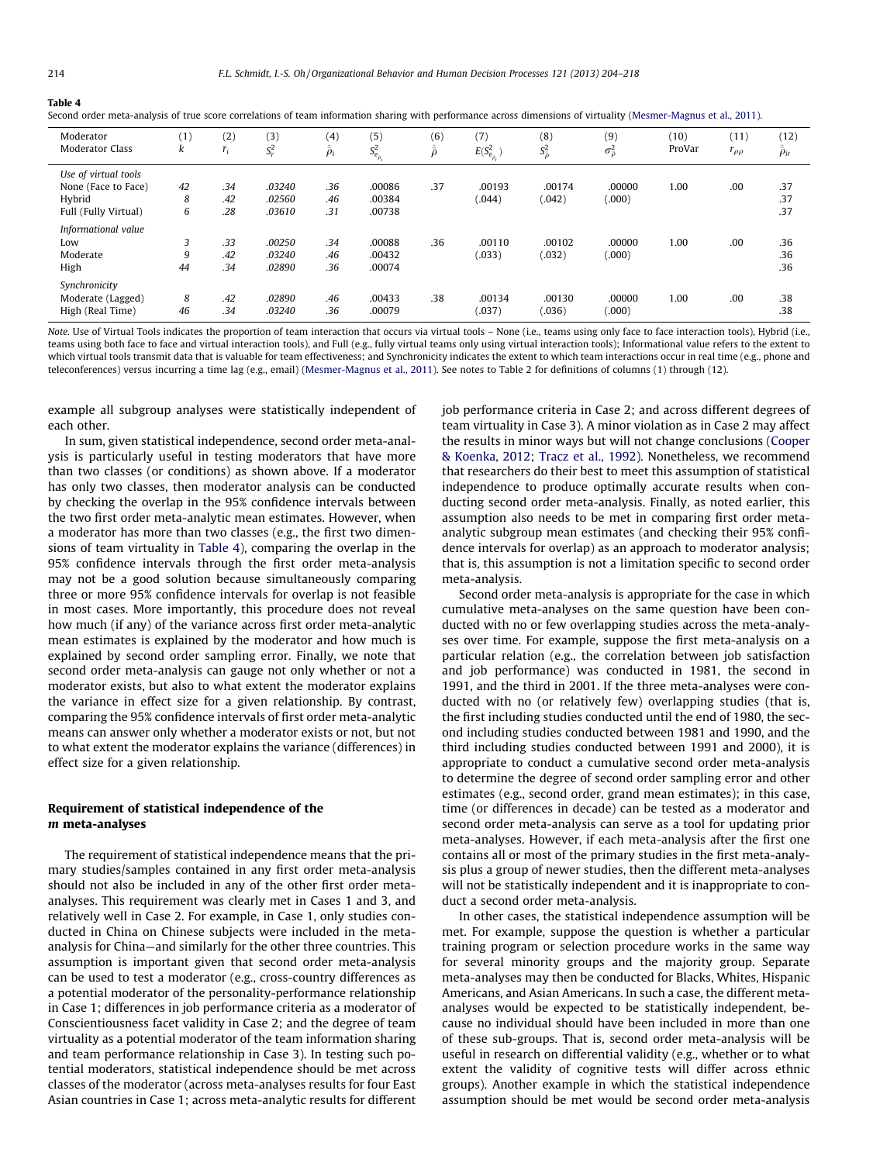Table 4

| Moderator<br><b>Moderator Class</b>                                           | (1)<br>k     | (2)<br>$\bar{r}_i$ | (3)<br>$S_r^2$             | (4)<br>$\hat{\bar{\rho}}_i$ | (5)<br>$S^2_{e_{\hat{\rho}_i}}$ | (6)<br>$\hat{\bar{\rho}}$ | (7)<br>$E(S^2_{e_{\hat{p}_i}})$ | (8)<br>$S_{\hat{\rho}}^2$ | (9)<br>$\sigma_{\bar{\rho}}^2$ | (10)<br>ProVar | (11)<br>$r_{\rho\rho}$ | (12)<br>$\hat{\bar{\rho}}_{ir}$ |
|-------------------------------------------------------------------------------|--------------|--------------------|----------------------------|-----------------------------|---------------------------------|---------------------------|---------------------------------|---------------------------|--------------------------------|----------------|------------------------|---------------------------------|
| Use of virtual tools<br>None (Face to Face)<br>Hybrid<br>Full (Fully Virtual) | 42<br>8<br>6 | .34<br>.42<br>.28  | .03240<br>.02560<br>.03610 | .36<br>.46<br>.31           | .00086<br>.00384<br>.00738      | .37                       | .00193<br>(0.044)               | .00174<br>(042)           | .00000<br>(000)                | 1.00           | .00                    | .37<br>.37<br>.37               |
| Informational value<br>Low<br>Moderate<br>High                                | 3<br>9<br>44 | .33<br>.42<br>.34  | .00250<br>.03240<br>.02890 | .34<br>.46<br>.36           | .00088<br>.00432<br>.00074      | .36                       | .00110<br>(.033)                | .00102<br>(.032)          | .00000<br>(000)                | 1.00           | .00.                   | .36<br>.36<br>.36               |
| Synchronicity<br>Moderate (Lagged)<br>High (Real Time)                        | 8<br>46      | .42<br>.34         | .02890<br>.03240           | .46<br>.36                  | .00433<br>.00079                | .38                       | .00134<br>(.037)                | .00130<br>(.036)          | .00000<br>(000)                | 1.00           | .00                    | .38<br>.38                      |

*Note.* Use of Virtual Tools indicates the proportion of team interaction that occurs via virtual tools – None (i.e., teams using only face to face interaction tools), Hybrid (i.e., teams using both face to face and virtual interaction tools), and Full (e.g., fully virtual teams only using virtual interaction tools); Informational value refers to the extent to which virtual tools transmit data that is valuable for team effectiveness; and Synchronicity indicates the extent to which team interactions occur in real time (e.g., phone and teleconferences) versus incurring a time lag (e.g., email) (Mesmer-Magnus et al., 2011). See notes to Table 2 for definitions of columns (1) through (12).

example all subgroup analyses were statistically independent of each other.

In sum, given statistical independence, second order meta-analysis is particularly useful in testing moderators that have more than two classes (or conditions) as shown above. If a moderator has only two classes, then moderator analysis can be conducted by checking the overlap in the 95% confidence intervals between the two first order meta-analytic mean estimates. However, when a moderator has more than two classes (e.g., the first two dimensions of team virtuality in Table 4), comparing the overlap in the 95% confidence intervals through the first order meta-analysis may not be a good solution because simultaneously comparing three or more 95% confidence intervals for overlap is not feasible in most cases. More importantly, this procedure does not reveal how much (if any) of the variance across first order meta-analytic mean estimates is explained by the moderator and how much is explained by second order sampling error. Finally, we note that second order meta-analysis can gauge not only whether or not a moderator exists, but also to what extent the moderator explains the variance in effect size for a given relationship. By contrast, comparing the 95% confidence intervals of first order meta-analytic means can answer only whether a moderator exists or not, but not to what extent the moderator explains the variance (differences) in effect size for a given relationship.

## Requirement of statistical independence of the m meta-analyses

The requirement of statistical independence means that the primary studies/samples contained in any first order meta-analysis should not also be included in any of the other first order metaanalyses. This requirement was clearly met in Cases 1 and 3, and relatively well in Case 2. For example, in Case 1, only studies conducted in China on Chinese subjects were included in the metaanalysis for China—and similarly for the other three countries. This assumption is important given that second order meta-analysis can be used to test a moderator (e.g., cross-country differences as a potential moderator of the personality-performance relationship in Case 1; differences in job performance criteria as a moderator of Conscientiousness facet validity in Case 2; and the degree of team virtuality as a potential moderator of the team information sharing and team performance relationship in Case 3). In testing such potential moderators, statistical independence should be met across classes of the moderator (across meta-analyses results for four East Asian countries in Case 1; across meta-analytic results for different job performance criteria in Case 2; and across different degrees of team virtuality in Case 3). A minor violation as in Case 2 may affect the results in minor ways but will not change conclusions (Cooper & Koenka, 2012; Tracz et al., 1992). Nonetheless, we recommend that researchers do their best to meet this assumption of statistical independence to produce optimally accurate results when conducting second order meta-analysis. Finally, as noted earlier, this assumption also needs to be met in comparing first order metaanalytic subgroup mean estimates (and checking their 95% confidence intervals for overlap) as an approach to moderator analysis; that is, this assumption is not a limitation specific to second order meta-analysis.

Second order meta-analysis is appropriate for the case in which cumulative meta-analyses on the same question have been conducted with no or few overlapping studies across the meta-analyses over time. For example, suppose the first meta-analysis on a particular relation (e.g., the correlation between job satisfaction and job performance) was conducted in 1981, the second in 1991, and the third in 2001. If the three meta-analyses were conducted with no (or relatively few) overlapping studies (that is, the first including studies conducted until the end of 1980, the second including studies conducted between 1981 and 1990, and the third including studies conducted between 1991 and 2000), it is appropriate to conduct a cumulative second order meta-analysis to determine the degree of second order sampling error and other estimates (e.g., second order, grand mean estimates); in this case, time (or differences in decade) can be tested as a moderator and second order meta-analysis can serve as a tool for updating prior meta-analyses. However, if each meta-analysis after the first one contains all or most of the primary studies in the first meta-analysis plus a group of newer studies, then the different meta-analyses will not be statistically independent and it is inappropriate to conduct a second order meta-analysis.

In other cases, the statistical independence assumption will be met. For example, suppose the question is whether a particular training program or selection procedure works in the same way for several minority groups and the majority group. Separate meta-analyses may then be conducted for Blacks, Whites, Hispanic Americans, and Asian Americans. In such a case, the different metaanalyses would be expected to be statistically independent, because no individual should have been included in more than one of these sub-groups. That is, second order meta-analysis will be useful in research on differential validity (e.g., whether or to what extent the validity of cognitive tests will differ across ethnic groups). Another example in which the statistical independence assumption should be met would be second order meta-analysis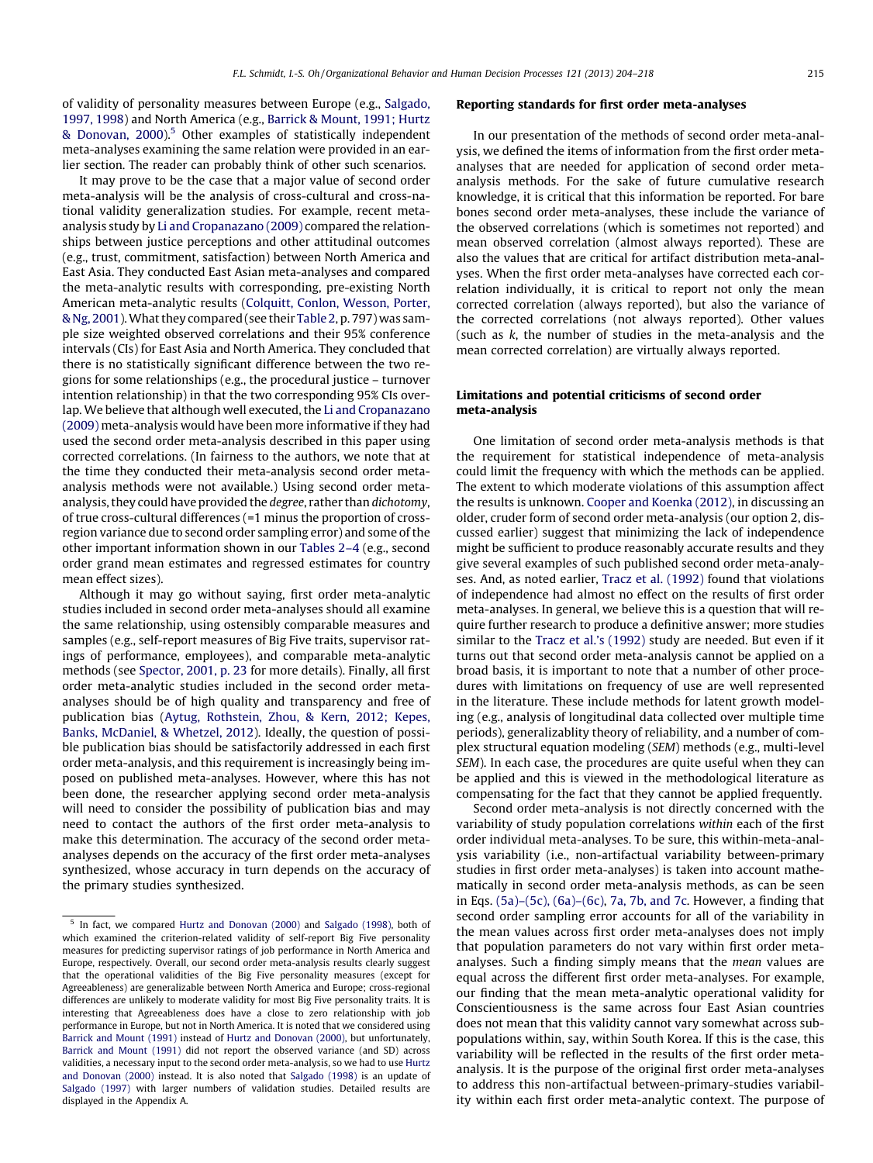of validity of personality measures between Europe (e.g., Salgado, 1997, 1998) and North America (e.g., Barrick & Mount, 1991; Hurtz & Donovan, 2000).<sup>5</sup> Other examples of statistically independent meta-analyses examining the same relation were provided in an earlier section. The reader can probably think of other such scenarios.

It may prove to be the case that a major value of second order meta-analysis will be the analysis of cross-cultural and cross-national validity generalization studies. For example, recent metaanalysis study by Li and Cropanazano (2009) compared the relationships between justice perceptions and other attitudinal outcomes (e.g., trust, commitment, satisfaction) between North America and East Asia. They conducted East Asian meta-analyses and compared the meta-analytic results with corresponding, pre-existing North American meta-analytic results (Colquitt, Conlon, Wesson, Porter, & Ng, 2001).What they compared (see their Table 2, p. 797) was sample size weighted observed correlations and their 95% conference intervals (CIs) for East Asia and North America. They concluded that there is no statistically significant difference between the two regions for some relationships (e.g., the procedural justice – turnover intention relationship) in that the two corresponding 95% CIs overlap. We believe that although well executed, the Li and Cropanazano (2009) meta-analysis would have been more informative if they had used the second order meta-analysis described in this paper using corrected correlations. (In fairness to the authors, we note that at the time they conducted their meta-analysis second order metaanalysis methods were not available.) Using second order metaanalysis, they could have provided the *degree*, rather than *dichotomy*, of true cross-cultural differences (=1 minus the proportion of crossregion variance due to second order sampling error) and some of the other important information shown in our Tables 2–4 (e.g., second order grand mean estimates and regressed estimates for country mean effect sizes).

Although it may go without saying, first order meta-analytic studies included in second order meta-analyses should all examine the same relationship, using ostensibly comparable measures and samples (e.g., self-report measures of Big Five traits, supervisor ratings of performance, employees), and comparable meta-analytic methods (see Spector, 2001, p. 23 for more details). Finally, all first order meta-analytic studies included in the second order metaanalyses should be of high quality and transparency and free of publication bias (Aytug, Rothstein, Zhou, & Kern, 2012; Kepes, Banks, McDaniel, & Whetzel, 2012). Ideally, the question of possible publication bias should be satisfactorily addressed in each first order meta-analysis, and this requirement is increasingly being imposed on published meta-analyses. However, where this has not been done, the researcher applying second order meta-analysis will need to consider the possibility of publication bias and may need to contact the authors of the first order meta-analysis to make this determination. The accuracy of the second order metaanalyses depends on the accuracy of the first order meta-analyses synthesized, whose accuracy in turn depends on the accuracy of the primary studies synthesized.

### Reporting standards for first order meta-analyses

In our presentation of the methods of second order meta-analysis, we defined the items of information from the first order metaanalyses that are needed for application of second order metaanalysis methods. For the sake of future cumulative research knowledge, it is critical that this information be reported. For bare bones second order meta-analyses, these include the variance of the observed correlations (which is sometimes not reported) and mean observed correlation (almost always reported). These are also the values that are critical for artifact distribution meta-analyses. When the first order meta-analyses have corrected each correlation individually, it is critical to report not only the mean corrected correlation (always reported), but also the variance of the corrected correlations (not always reported). Other values (such as *k*, the number of studies in the meta-analysis and the mean corrected correlation) are virtually always reported.

## Limitations and potential criticisms of second order meta-analysis

One limitation of second order meta-analysis methods is that the requirement for statistical independence of meta-analysis could limit the frequency with which the methods can be applied. The extent to which moderate violations of this assumption affect the results is unknown. Cooper and Koenka (2012), in discussing an older, cruder form of second order meta-analysis (our option 2, discussed earlier) suggest that minimizing the lack of independence might be sufficient to produce reasonably accurate results and they give several examples of such published second order meta-analyses. And, as noted earlier, Tracz et al. (1992) found that violations of independence had almost no effect on the results of first order meta-analyses. In general, we believe this is a question that will require further research to produce a definitive answer; more studies similar to the Tracz et al.'s (1992) study are needed. But even if it turns out that second order meta-analysis cannot be applied on a broad basis, it is important to note that a number of other procedures with limitations on frequency of use are well represented in the literature. These include methods for latent growth modeling (e.g., analysis of longitudinal data collected over multiple time periods), generalizablity theory of reliability, and a number of complex structural equation modeling (*SEM*) methods (e.g., multi-level *SEM*). In each case, the procedures are quite useful when they can be applied and this is viewed in the methodological literature as compensating for the fact that they cannot be applied frequently.

Second order meta-analysis is not directly concerned with the variability of study population correlations *within* each of the first order individual meta-analyses. To be sure, this within-meta-analysis variability (i.e., non-artifactual variability between-primary studies in first order meta-analyses) is taken into account mathematically in second order meta-analysis methods, as can be seen in Eqs. (5a)–(5c), (6a)–(6c), 7a, 7b, and 7c. However, a finding that second order sampling error accounts for all of the variability in the mean values across first order meta-analyses does not imply that population parameters do not vary within first order metaanalyses. Such a finding simply means that the *mean* values are equal across the different first order meta-analyses. For example, our finding that the mean meta-analytic operational validity for Conscientiousness is the same across four East Asian countries does not mean that this validity cannot vary somewhat across subpopulations within, say, within South Korea. If this is the case, this variability will be reflected in the results of the first order metaanalysis. It is the purpose of the original first order meta-analyses to address this non-artifactual between-primary-studies variability within each first order meta-analytic context. The purpose of

<sup>5</sup> In fact, we compared Hurtz and Donovan (2000) and Salgado (1998), both of which examined the criterion-related validity of self-report Big Five personality measures for predicting supervisor ratings of job performance in North America and Europe, respectively. Overall, our second order meta-analysis results clearly suggest that the operational validities of the Big Five personality measures (except for Agreeableness) are generalizable between North America and Europe; cross-regional differences are unlikely to moderate validity for most Big Five personality traits. It is interesting that Agreeableness does have a close to zero relationship with job performance in Europe, but not in North America. It is noted that we considered using Barrick and Mount (1991) instead of Hurtz and Donovan (2000), but unfortunately, Barrick and Mount (1991) did not report the observed variance (and SD) across validities, a necessary input to the second order meta-analysis, so we had to use Hurtz and Donovan (2000) instead. It is also noted that Salgado (1998) is an update of Salgado (1997) with larger numbers of validation studies. Detailed results are displayed in the Appendix A.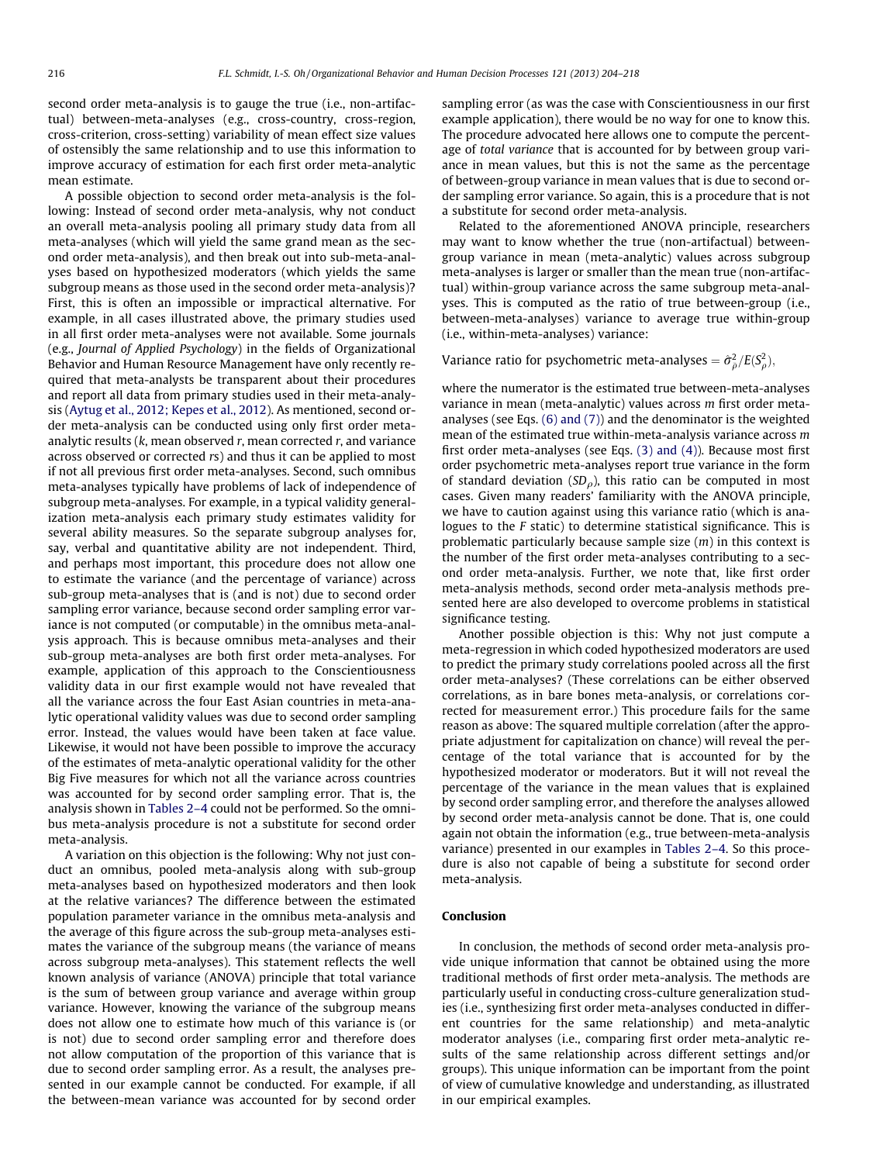second order meta-analysis is to gauge the true (i.e., non-artifactual) between-meta-analyses (e.g., cross-country, cross-region, cross-criterion, cross-setting) variability of mean effect size values of ostensibly the same relationship and to use this information to improve accuracy of estimation for each first order meta-analytic mean estimate.

A possible objection to second order meta-analysis is the following: Instead of second order meta-analysis, why not conduct an overall meta-analysis pooling all primary study data from all meta-analyses (which will yield the same grand mean as the second order meta-analysis), and then break out into sub-meta-analyses based on hypothesized moderators (which yields the same subgroup means as those used in the second order meta-analysis)? First, this is often an impossible or impractical alternative. For example, in all cases illustrated above, the primary studies used in all first order meta-analyses were not available. Some journals (e.g., *Journal of Applied Psychology*) in the fields of Organizational Behavior and Human Resource Management have only recently required that meta-analysts be transparent about their procedures and report all data from primary studies used in their meta-analysis (Aytug et al., 2012; Kepes et al., 2012). As mentioned, second order meta-analysis can be conducted using only first order metaanalytic results (*k*, mean observed *r*, mean corrected *r*, and variance across observed or corrected *r*s) and thus it can be applied to most if not all previous first order meta-analyses. Second, such omnibus meta-analyses typically have problems of lack of independence of subgroup meta-analyses. For example, in a typical validity generalization meta-analysis each primary study estimates validity for several ability measures. So the separate subgroup analyses for, say, verbal and quantitative ability are not independent. Third, and perhaps most important, this procedure does not allow one to estimate the variance (and the percentage of variance) across sub-group meta-analyses that is (and is not) due to second order sampling error variance, because second order sampling error variance is not computed (or computable) in the omnibus meta-analysis approach. This is because omnibus meta-analyses and their sub-group meta-analyses are both first order meta-analyses. For example, application of this approach to the Conscientiousness validity data in our first example would not have revealed that all the variance across the four East Asian countries in meta-analytic operational validity values was due to second order sampling error. Instead, the values would have been taken at face value. Likewise, it would not have been possible to improve the accuracy of the estimates of meta-analytic operational validity for the other Big Five measures for which not all the variance across countries was accounted for by second order sampling error. That is, the analysis shown in Tables 2–4 could not be performed. So the omnibus meta-analysis procedure is not a substitute for second order meta-analysis.

A variation on this objection is the following: Why not just conduct an omnibus, pooled meta-analysis along with sub-group meta-analyses based on hypothesized moderators and then look at the relative variances? The difference between the estimated population parameter variance in the omnibus meta-analysis and the average of this figure across the sub-group meta-analyses estimates the variance of the subgroup means (the variance of means across subgroup meta-analyses). This statement reflects the well known analysis of variance (ANOVA) principle that total variance is the sum of between group variance and average within group variance. However, knowing the variance of the subgroup means does not allow one to estimate how much of this variance is (or is not) due to second order sampling error and therefore does not allow computation of the proportion of this variance that is due to second order sampling error. As a result, the analyses presented in our example cannot be conducted. For example, if all the between-mean variance was accounted for by second order sampling error (as was the case with Conscientiousness in our first example application), there would be no way for one to know this. The procedure advocated here allows one to compute the percentage of *total variance* that is accounted for by between group variance in mean values, but this is not the same as the percentage of between-group variance in mean values that is due to second order sampling error variance. So again, this is a procedure that is not a substitute for second order meta-analysis.

Related to the aforementioned ANOVA principle, researchers may want to know whether the true (non-artifactual) betweengroup variance in mean (meta-analytic) values across subgroup meta-analyses is larger or smaller than the mean true (non-artifactual) within-group variance across the same subgroup meta-analyses. This is computed as the ratio of true between-group (i.e., between-meta-analyses) variance to average true within-group (i.e., within-meta-analyses) variance:

## Variance ratio for psychometric meta-analyses  $= \hat{\sigma}_{\bar{\rho}}^2 / E(S_\rho^2)$ ,

where the numerator is the estimated true between-meta-analyses variance in mean (meta-analytic) values across *m* first order metaanalyses (see Eqs. (6) and (7)) and the denominator is the weighted mean of the estimated true within-meta-analysis variance across *m* first order meta-analyses (see Eqs. (3) and (4)). Because most first order psychometric meta-analyses report true variance in the form of standard deviation  $(SD<sub>o</sub>)$ , this ratio can be computed in most cases. Given many readers' familiarity with the ANOVA principle, we have to caution against using this variance ratio (which is analogues to the *F* static) to determine statistical significance. This is problematic particularly because sample size (*m*) in this context is the number of the first order meta-analyses contributing to a second order meta-analysis. Further, we note that, like first order meta-analysis methods, second order meta-analysis methods presented here are also developed to overcome problems in statistical significance testing.

Another possible objection is this: Why not just compute a meta-regression in which coded hypothesized moderators are used to predict the primary study correlations pooled across all the first order meta-analyses? (These correlations can be either observed correlations, as in bare bones meta-analysis, or correlations corrected for measurement error.) This procedure fails for the same reason as above: The squared multiple correlation (after the appropriate adjustment for capitalization on chance) will reveal the percentage of the total variance that is accounted for by the hypothesized moderator or moderators. But it will not reveal the percentage of the variance in the mean values that is explained by second order sampling error, and therefore the analyses allowed by second order meta-analysis cannot be done. That is, one could again not obtain the information (e.g., true between-meta-analysis variance) presented in our examples in Tables 2–4. So this procedure is also not capable of being a substitute for second order meta-analysis.

## Conclusion

In conclusion, the methods of second order meta-analysis provide unique information that cannot be obtained using the more traditional methods of first order meta-analysis. The methods are particularly useful in conducting cross-culture generalization studies (i.e., synthesizing first order meta-analyses conducted in different countries for the same relationship) and meta-analytic moderator analyses (i.e., comparing first order meta-analytic results of the same relationship across different settings and/or groups). This unique information can be important from the point of view of cumulative knowledge and understanding, as illustrated in our empirical examples.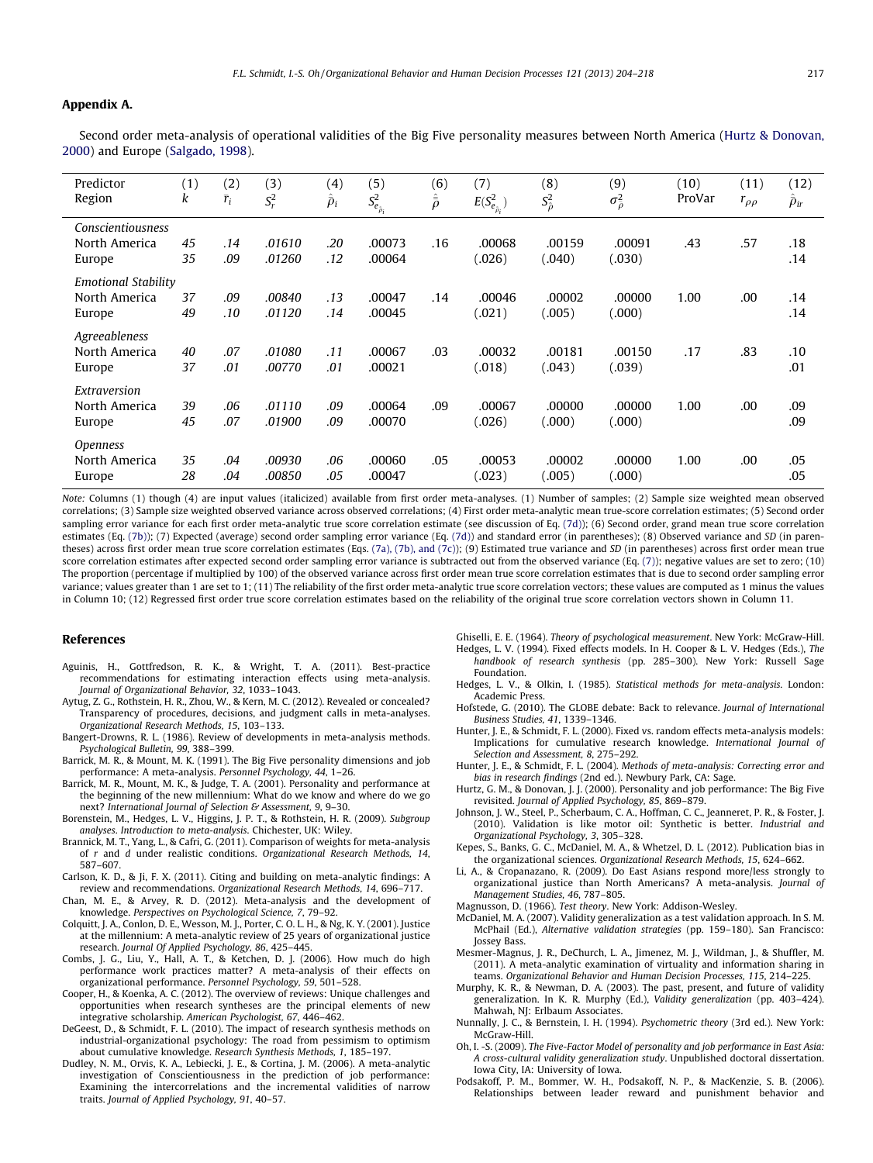## Appendix A.

Second order meta-analysis of operational validities of the Big Five personality measures between North America (Hurtz & Donovan, 2000) and Europe (Salgado, 1998).

| Predictor<br>Region                                   | (1)<br>k | (2)<br>$\bar{r}_i$ | (3)<br>$S_r^2$   | (4)<br>$\hat{\bar{\rho}}_i$ | (5)<br>$S^2_{e_{\hat{\rho}_i}}$ | (6)<br>$\hat{\bar{\rho}}$ | (7)<br>$E(S^2_{e_{\hat{p}_i}})$ | (8)<br>$S_{\hat{\rho}}^2$ | (9)<br>$\sigma_{\bar{\rho}}^2$ | (10)<br>ProVar | (11)<br>$r_{\rho\rho}$ | (12)<br>$\hat{\bar{\rho}}_{ir}$ |
|-------------------------------------------------------|----------|--------------------|------------------|-----------------------------|---------------------------------|---------------------------|---------------------------------|---------------------------|--------------------------------|----------------|------------------------|---------------------------------|
| Conscientiousness<br>North America<br>Europe          | 45<br>35 | .14<br>.09         | .01610<br>.01260 | .20<br>.12                  | .00073<br>.00064                | .16                       | .00068<br>(.026)                | .00159<br>(.040)          | .00091<br>(.030)               | .43            | .57                    | .18<br>.14                      |
| <b>Emotional Stability</b><br>North America<br>Europe | 37<br>49 | .09<br>.10         | .00840<br>.01120 | .13<br>.14                  | .00047<br>.00045                | .14                       | .00046<br>(.021)                | .00002<br>(.005)          | .00000<br>(.000)               | 1.00           | .00                    | .14<br>.14                      |
| Agreeableness<br>North America<br>Europe              | 40<br>37 | .07<br>.01         | .01080<br>.00770 | .11<br>.01                  | .00067<br>.00021                | .03                       | .00032<br>(.018)                | .00181<br>(.043)          | .00150<br>(.039)               | .17            | .83                    | .10<br>.01                      |
| Extraversion<br>North America<br>Europe               | 39<br>45 | .06<br>.07         | .01110<br>.01900 | .09<br>.09                  | .00064<br>.00070                | .09                       | .00067<br>(.026)                | .00000<br>(.000)          | .00000<br>(.000)               | 1.00           | .00                    | .09<br>.09                      |
| <i><b>Openness</b></i><br>North America<br>Europe     | 35<br>28 | .04<br>.04         | .00930<br>.00850 | .06<br>.05                  | .00060<br>.00047                | .05                       | .00053<br>(.023)                | .00002<br>.005)           | .00000<br>(000)                | 1.00           | .00                    | .05<br>.05                      |

*Note:* Columns (1) though (4) are input values (italicized) available from first order meta-analyses. (1) Number of samples; (2) Sample size weighted mean observed correlations; (3) Sample size weighted observed variance across observed correlations; (4) First order meta-analytic mean true-score correlation estimates; (5) Second order sampling error variance for each first order meta-analytic true score correlation estimate (see discussion of Eq. (7d)); (6) Second order, grand mean true score correlation estimates (Eq. (7b)); (7) Expected (average) second order sampling error variance (Eq. (7d)) and standard error (in parentheses); (8) Observed variance and *SD* (in parentheses) across first order mean true score correlation estimates (Eqs. (7a), (7b), and (7c)); (9) Estimated true variance and *SD* (in parentheses) across first order mean true score correlation estimates after expected second order sampling error variance is subtracted out from the observed variance (Eq. (7)); negative values are set to zero; (10) The proportion (percentage if multiplied by 100) of the observed variance across first order mean true score correlation estimates that is due to second order sampling error variance; values greater than 1 are set to 1; (11) The reliability of the first order meta-analytic true score correlation vectors; these values are computed as 1 minus the values in Column 10; (12) Regressed first order true score correlation estimates based on the reliability of the original true score correlation vectors shown in Column 11.

#### References

- Aguinis, H., Gottfredson, R. K., & Wright, T. A. (2011). Best-practice recommendations for estimating interaction effects using meta-analysis. *Journal of Organizational Behavior, 32*, 1033–1043.
- Aytug, Z. G., Rothstein, H. R., Zhou, W., & Kern, M. C. (2012). Revealed or concealed? Transparency of procedures, decisions, and judgment calls in meta-analyses. *Organizational Research Methods, 15*, 103–133.
- Bangert-Drowns, R. L. (1986). Review of developments in meta-analysis methods. *Psychological Bulletin, 99*, 388–399.
- Barrick, M. R., & Mount, M. K. (1991). The Big Five personality dimensions and job performance: A meta-analysis. *Personnel Psychology, 44*, 1–26.
- Barrick, M. R., Mount, M. K., & Judge, T. A. (2001). Personality and performance at the beginning of the new millennium: What do we know and where do we go next? *International Journal of Selection & Assessment, 9*, 9–30.
- Borenstein, M., Hedges, L. V., Higgins, J. P. T., & Rothstein, H. R. (2009). *Subgroup analyses*. *Introduction to meta-analysis*. Chichester, UK: Wiley.
- Brannick, M. T., Yang, L., & Cafri, G. (2011). Comparison of weights for meta-analysis of *r* and *d* under realistic conditions. *Organizational Research Methods, 14*, 587–607.
- Carlson, K. D., & Ji, F. X. (2011). Citing and building on meta-analytic findings: A review and recommendations. *Organizational Research Methods, 14*, 696–717.
- Chan, M. E., & Arvey, R. D. (2012). Meta-analysis and the development of knowledge. *Perspectives on Psychological Science, 7*, 79–92.
- Colquitt, J. A., Conlon, D. E., Wesson, M. J., Porter, C. O. L. H., & Ng, K. Y. (2001). Justice at the millennium: A meta-analytic review of 25 years of organizational justice research. *Journal Of Applied Psychology, 86*, 425–445.
- Combs, J. G., Liu, Y., Hall, A. T., & Ketchen, D. J. (2006). How much do high performance work practices matter? A meta-analysis of their effects on organizational performance. *Personnel Psychology, 59*, 501–528.
- Cooper, H., & Koenka, A. C. (2012). The overview of reviews: Unique challenges and opportunities when research syntheses are the principal elements of new integrative scholarship. *American Psychologist, 67*, 446–462.
- DeGeest, D., & Schmidt, F. L. (2010). The impact of research synthesis methods on industrial-organizational psychology: The road from pessimism to optimism about cumulative knowledge. *Research Synthesis Methods, 1*, 185–197.
- Dudley, N. M., Orvis, K. A., Lebiecki, J. E., & Cortina, J. M. (2006). A meta-analytic investigation of Conscientiousness in the prediction of job performance: Examining the intercorrelations and the incremental validities of narrow traits. *Journal of Applied Psychology, 91*, 40–57.

Ghiselli, E. E. (1964). *Theory of psychological measurement*. New York: McGraw-Hill. Hedges, L. V. (1994). Fixed effects models. In H. Cooper & L. V. Hedges (Eds.), *The handbook of research synthesis* (pp. 285–300). New York: Russell Sage Foundation.

- Hedges, L. V., & Olkin, I. (1985). *Statistical methods for meta-analysis*. London: Academic Press.
- Hofstede, G. (2010). The GLOBE debate: Back to relevance. *Journal of International Business Studies, 41*, 1339–1346.
- Hunter, J. E., & Schmidt, F. L. (2000). Fixed vs. random effects meta-analysis models: Implications for cumulative research knowledge. *International Journal of Selection and Assessment, 8*, 275–292.
- Hunter, J. E., & Schmidt, F. L. (2004). *Methods of meta-analysis: Correcting error and bias in research findings* (2nd ed.). Newbury Park, CA: Sage.
- Hurtz, G. M., & Donovan, J. J. (2000). Personality and job performance: The Big Five revisited. *Journal of Applied Psychology, 85*, 869–879.
- Johnson, J. W., Steel, P., Scherbaum, C. A., Hoffman, C. C., Jeanneret, P. R., & Foster, J. (2010). Validation is like motor oil: Synthetic is better. *Industrial and Organizational Psychology, 3*, 305–328.
- Kepes, S., Banks, G. C., McDaniel, M. A., & Whetzel, D. L. (2012). Publication bias in the organizational sciences. *Organizational Research Methods, 15*, 624–662.
- Li, A., & Cropanazano, R. (2009). Do East Asians respond more/less strongly to organizational justice than North Americans? A meta-analysis. *Journal of Management Studies, 46*, 787–805.
- Magnusson, D. (1966). *Test theory*. New York: Addison-Wesley.
- McDaniel, M. A. (2007). Validity generalization as a test validation approach. In S. M. McPhail (Ed.), *Alternative validation strategies* (pp. 159–180). San Francisco: Jossey Bass.
- Mesmer-Magnus, J. R., DeChurch, L. A., Jimenez, M. J., Wildman, J., & Shuffler, M. (2011). A meta-analytic examination of virtuality and information sharing in teams. *Organizational Behavior and Human Decision Processes, 115*, 214–225.
- Murphy, K. R., & Newman, D. A. (2003). The past, present, and future of validity generalization. In K. R. Murphy (Ed.), *Validity generalization* (pp. 403–424). Mahwah, NJ: Erlbaum Associates.
- Nunnally, J. C., & Bernstein, I. H. (1994). *Psychometric theory* (3rd ed.). New York: McGraw-Hill.
- Oh, I. -S. (2009). *The Five-Factor Model of personality and job performance in East Asia: A cross-cultural validity generalization study*. Unpublished doctoral dissertation. Iowa City, IA: University of Iowa.
- Podsakoff, P. M., Bommer, W. H., Podsakoff, N. P., & MacKenzie, S. B. (2006). Relationships between leader reward and punishment behavior and